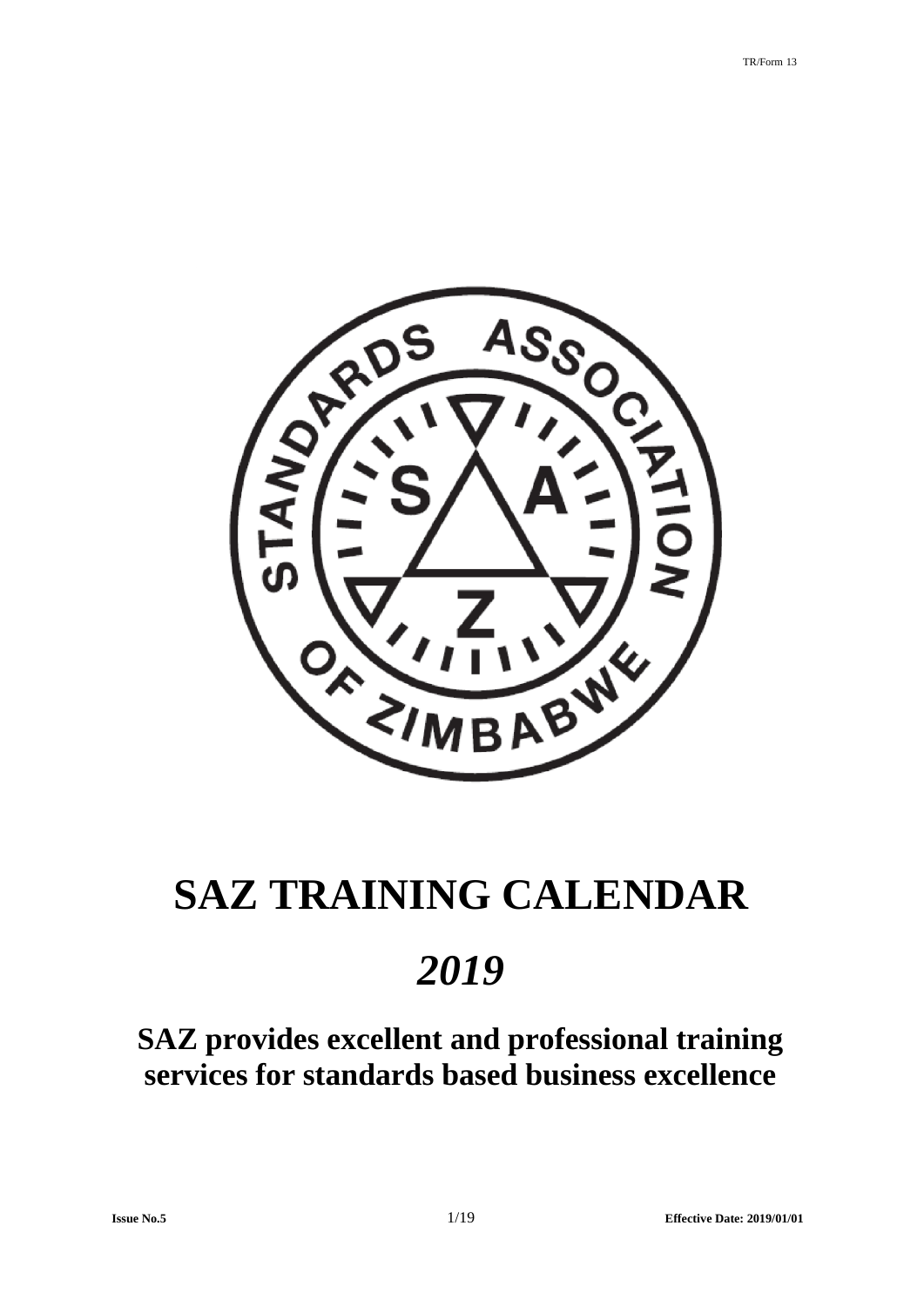

# **SAZ TRAINING CALENDAR**

# *2019*

**SAZ provides excellent and professional training services for standards based business excellence**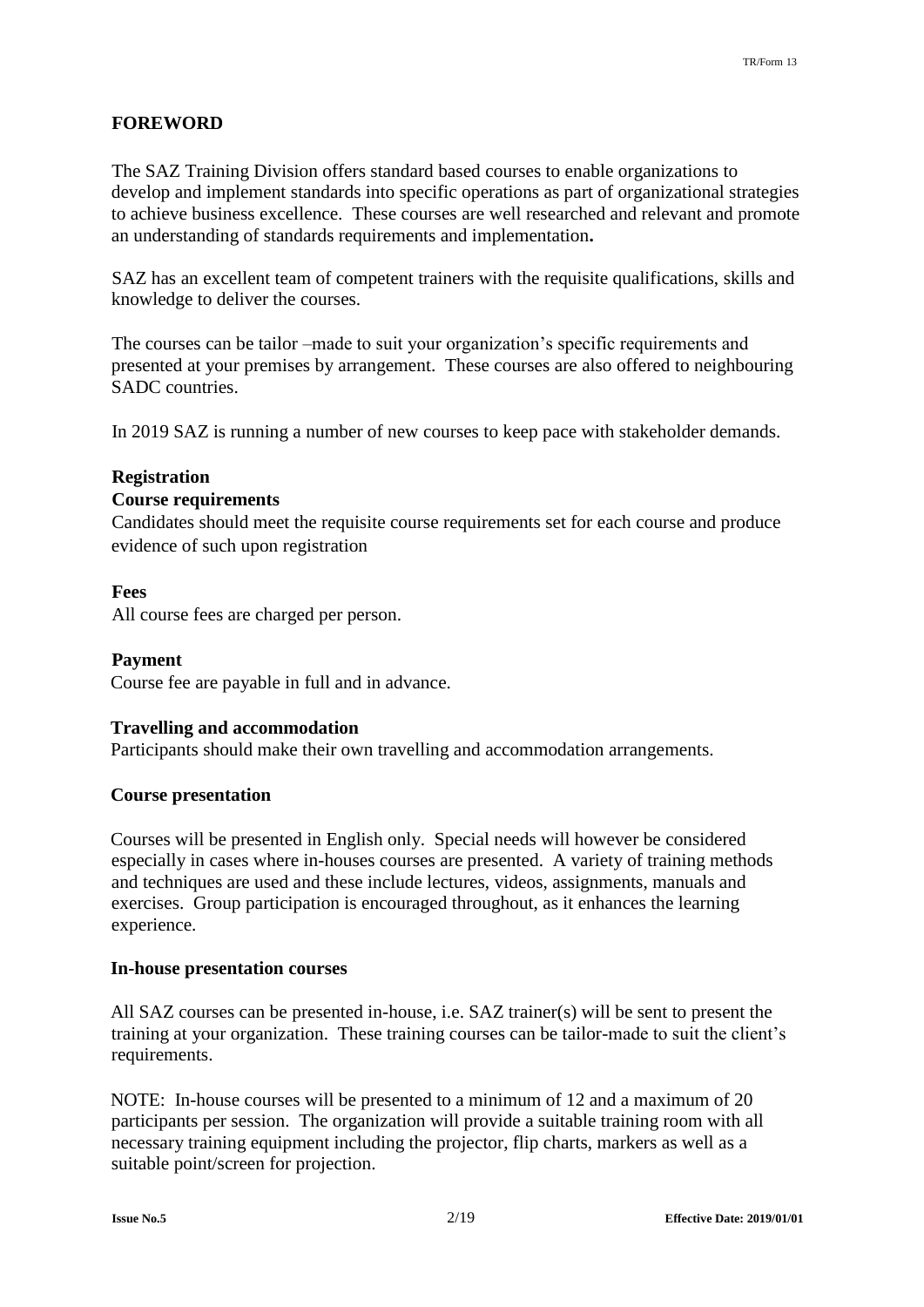# **FOREWORD**

The SAZ Training Division offers standard based courses to enable organizations to develop and implement standards into specific operations as part of organizational strategies to achieve business excellence. These courses are well researched and relevant and promote an understanding of standards requirements and implementation**.** 

SAZ has an excellent team of competent trainers with the requisite qualifications, skills and knowledge to deliver the courses.

The courses can be tailor –made to suit your organization's specific requirements and presented at your premises by arrangement. These courses are also offered to neighbouring SADC countries.

In 2019 SAZ is running a number of new courses to keep pace with stakeholder demands.

# **Registration**

# **Course requirements**

Candidates should meet the requisite course requirements set for each course and produce evidence of such upon registration

# **Fees**

All course fees are charged per person.

# **Payment**

Course fee are payable in full and in advance.

# **Travelling and accommodation**

Participants should make their own travelling and accommodation arrangements.

# **Course presentation**

Courses will be presented in English only. Special needs will however be considered especially in cases where in-houses courses are presented. A variety of training methods and techniques are used and these include lectures, videos, assignments, manuals and exercises. Group participation is encouraged throughout, as it enhances the learning experience.

# **In-house presentation courses**

All SAZ courses can be presented in-house, i.e. SAZ trainer(s) will be sent to present the training at your organization. These training courses can be tailor-made to suit the client's requirements.

NOTE: In-house courses will be presented to a minimum of 12 and a maximum of 20 participants per session. The organization will provide a suitable training room with all necessary training equipment including the projector, flip charts, markers as well as a suitable point/screen for projection.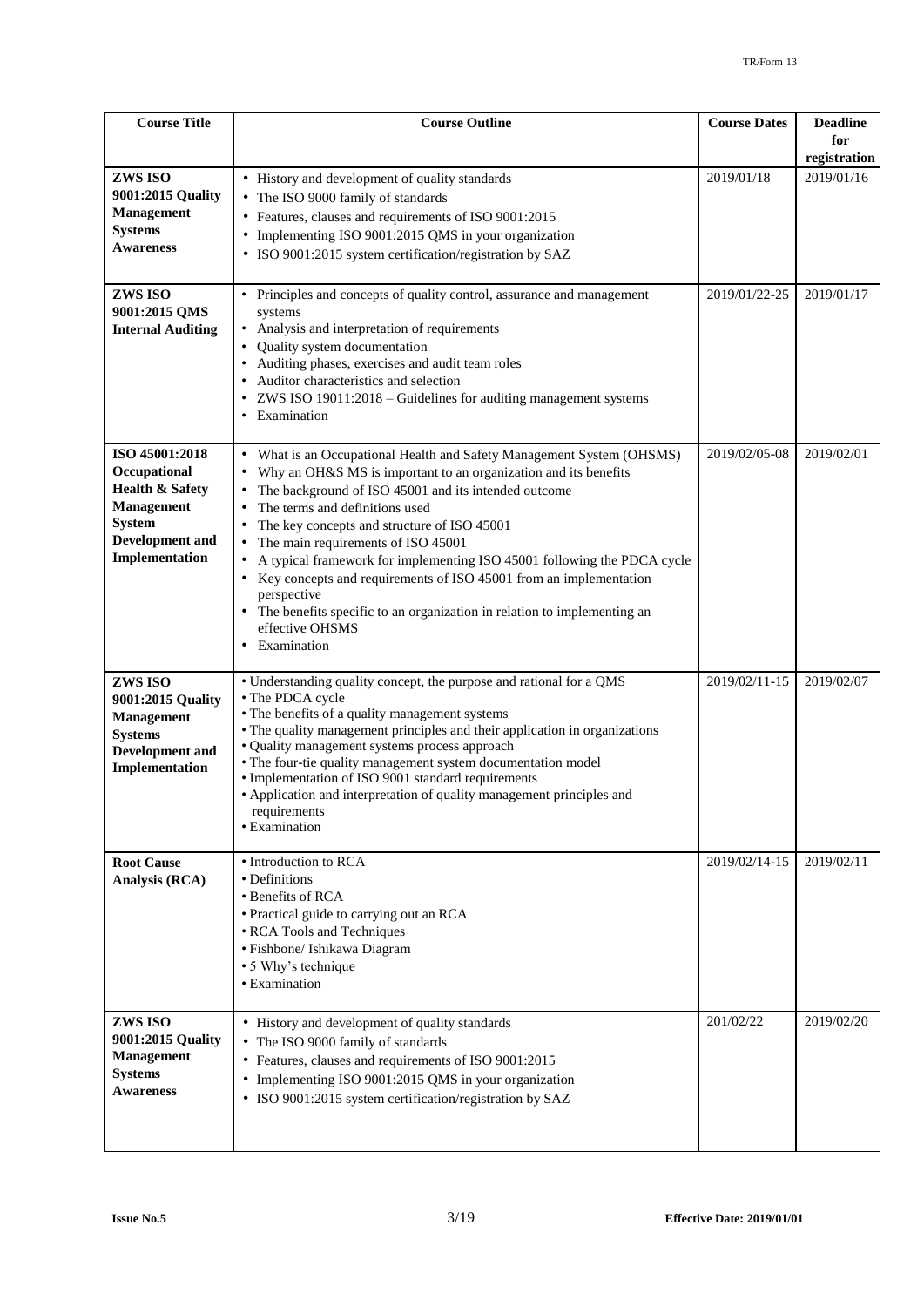| <b>Course Title</b>                                                                                                                            | <b>Course Outline</b>                                                                                                                                                                                                                                                                                                                                                                                                                                                                                                                                                                                          | <b>Course Dates</b> | <b>Deadline</b><br>for |
|------------------------------------------------------------------------------------------------------------------------------------------------|----------------------------------------------------------------------------------------------------------------------------------------------------------------------------------------------------------------------------------------------------------------------------------------------------------------------------------------------------------------------------------------------------------------------------------------------------------------------------------------------------------------------------------------------------------------------------------------------------------------|---------------------|------------------------|
|                                                                                                                                                |                                                                                                                                                                                                                                                                                                                                                                                                                                                                                                                                                                                                                |                     | registration           |
| ZWS ISO<br>9001:2015 Quality<br><b>Management</b><br><b>Systems</b><br><b>Awareness</b>                                                        | • History and development of quality standards<br>The ISO 9000 family of standards<br>Features, clauses and requirements of ISO 9001:2015<br>Implementing ISO 9001:2015 QMS in your organization<br>$\bullet$<br>· ISO 9001:2015 system certification/registration by SAZ                                                                                                                                                                                                                                                                                                                                      | 2019/01/18          | 2019/01/16             |
| ZWS ISO<br>9001:2015 QMS<br><b>Internal Auditing</b>                                                                                           | Principles and concepts of quality control, assurance and management<br>systems<br>Analysis and interpretation of requirements<br>Quality system documentation<br>Auditing phases, exercises and audit team roles<br>Auditor characteristics and selection<br>ZWS ISO 19011:2018 - Guidelines for auditing management systems<br>Examination                                                                                                                                                                                                                                                                   | 2019/01/22-25       | 2019/01/17             |
| ISO 45001:2018<br>Occupational<br><b>Health &amp; Safety</b><br><b>Management</b><br><b>System</b><br><b>Development</b> and<br>Implementation | What is an Occupational Health and Safety Management System (OHSMS)<br>$\bullet$<br>Why an OH&S MS is important to an organization and its benefits<br>The background of ISO 45001 and its intended outcome<br>The terms and definitions used<br>The key concepts and structure of ISO 45001<br>The main requirements of ISO 45001<br>A typical framework for implementing ISO 45001 following the PDCA cycle<br>Key concepts and requirements of ISO 45001 from an implementation<br>perspective<br>The benefits specific to an organization in relation to implementing an<br>effective OHSMS<br>Examination | 2019/02/05-08       | 2019/02/01             |
| ZWS ISO<br>9001:2015 Quality<br><b>Management</b><br><b>Systems</b><br><b>Development</b> and<br>Implementation                                | • Understanding quality concept, the purpose and rational for a QMS<br>• The PDCA cycle<br>• The benefits of a quality management systems<br>• The quality management principles and their application in organizations<br>• Quality management systems process approach<br>• The four-tie quality management system documentation model<br>• Implementation of ISO 9001 standard requirements<br>• Application and interpretation of quality management principles and<br>requirements<br>• Examination                                                                                                       | 2019/02/11-15       | 2019/02/07             |
| <b>Root Cause</b><br>Analysis (RCA)                                                                                                            | • Introduction to RCA<br>• Definitions<br>• Benefits of RCA<br>• Practical guide to carrying out an RCA<br>• RCA Tools and Techniques<br>· Fishbone/ Ishikawa Diagram<br>• 5 Why's technique<br>• Examination                                                                                                                                                                                                                                                                                                                                                                                                  | 2019/02/14-15       | 2019/02/11             |
| ZWS ISO<br>9001:2015 Quality<br><b>Management</b><br><b>Systems</b><br><b>Awareness</b>                                                        | • History and development of quality standards<br>The ISO 9000 family of standards<br>Features, clauses and requirements of ISO 9001:2015<br>Implementing ISO 9001:2015 QMS in your organization<br>· ISO 9001:2015 system certification/registration by SAZ                                                                                                                                                                                                                                                                                                                                                   | 201/02/22           | 2019/02/20             |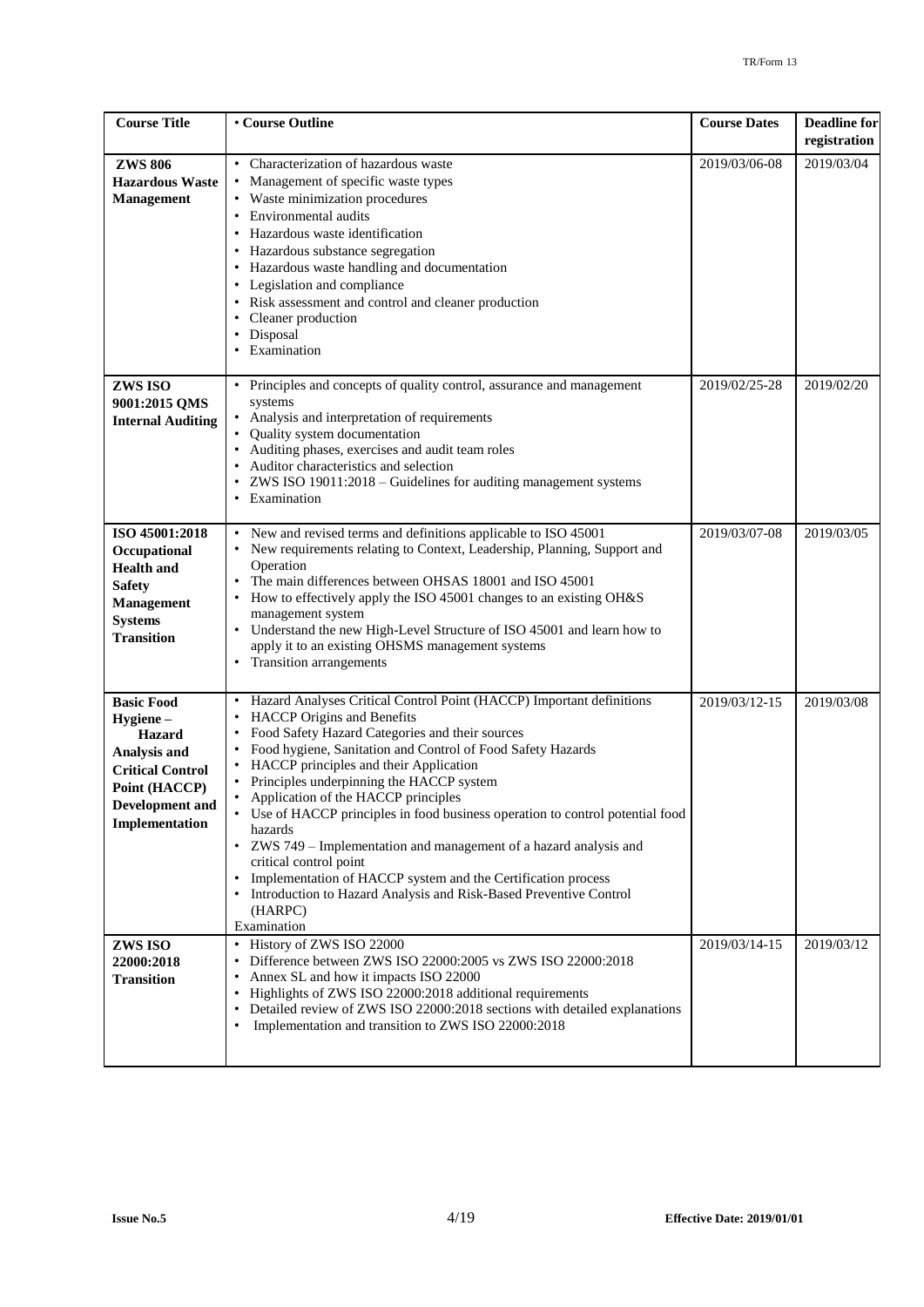| <b>Course Title</b>                                                                                                                      | • Course Outline                                                                                                                                                                                                                                                                                                                                                                                                                                                                                                                                                                                                                                                                                                                 | <b>Course Dates</b> | <b>Deadline</b> for<br>registration |
|------------------------------------------------------------------------------------------------------------------------------------------|----------------------------------------------------------------------------------------------------------------------------------------------------------------------------------------------------------------------------------------------------------------------------------------------------------------------------------------------------------------------------------------------------------------------------------------------------------------------------------------------------------------------------------------------------------------------------------------------------------------------------------------------------------------------------------------------------------------------------------|---------------------|-------------------------------------|
| <b>ZWS 806</b><br><b>Hazardous Waste</b><br><b>Management</b>                                                                            | • Characterization of hazardous waste<br>• Management of specific waste types<br>• Waste minimization procedures<br>• Environmental audits<br>Hazardous waste identification<br>• Hazardous substance segregation<br>• Hazardous waste handling and documentation<br>• Legislation and compliance<br>• Risk assessment and control and cleaner production<br>Cleaner production<br>Disposal<br>Examination                                                                                                                                                                                                                                                                                                                       | 2019/03/06-08       | 2019/03/04                          |
| ZWS ISO<br>9001:2015 QMS<br><b>Internal Auditing</b>                                                                                     | • Principles and concepts of quality control, assurance and management<br>systems<br>• Analysis and interpretation of requirements<br>Quality system documentation<br>• Auditing phases, exercises and audit team roles<br>• Auditor characteristics and selection<br>• ZWS ISO 19011:2018 - Guidelines for auditing management systems<br>• Examination                                                                                                                                                                                                                                                                                                                                                                         | 2019/02/25-28       | 2019/02/20                          |
| ISO 45001:2018<br>Occupational<br><b>Health and</b><br><b>Safety</b><br><b>Management</b><br><b>Systems</b><br><b>Transition</b>         | • New and revised terms and definitions applicable to ISO 45001<br>• New requirements relating to Context, Leadership, Planning, Support and<br>Operation<br>The main differences between OHSAS 18001 and ISO 45001<br>• How to effectively apply the ISO 45001 changes to an existing OH&S<br>management system<br>• Understand the new High-Level Structure of ISO 45001 and learn how to<br>apply it to an existing OHSMS management systems<br>• Transition arrangements                                                                                                                                                                                                                                                     | 2019/03/07-08       | 2019/03/05                          |
| <b>Basic Food</b><br>Hygiene-<br>Hazard<br>Analysis and<br><b>Critical Control</b><br>Point (HACCP)<br>Development and<br>Implementation | • Hazard Analyses Critical Control Point (HACCP) Important definitions<br>• HACCP Origins and Benefits<br>• Food Safety Hazard Categories and their sources<br>• Food hygiene, Sanitation and Control of Food Safety Hazards<br>• HACCP principles and their Application<br>• Principles underpinning the HACCP system<br>Application of the HACCP principles<br>٠<br>• Use of HACCP principles in food business operation to control potential food<br>hazards<br>• ZWS 749 - Implementation and management of a hazard analysis and<br>critical control point<br>Implementation of HACCP system and the Certification process<br>• Introduction to Hazard Analysis and Risk-Based Preventive Control<br>(HARPC)<br>Examination | 2019/03/12-15       | 2019/03/08                          |
| ZWS ISO<br>22000:2018<br><b>Transition</b>                                                                                               | • History of ZWS ISO 22000<br>• Difference between ZWS ISO 22000:2005 vs ZWS ISO 22000:2018<br>• Annex SL and how it impacts ISO 22000<br>• Highlights of ZWS ISO 22000:2018 additional requirements<br>Detailed review of ZWS ISO 22000:2018 sections with detailed explanations<br>Implementation and transition to ZWS ISO 22000:2018<br>$\bullet$                                                                                                                                                                                                                                                                                                                                                                            | 2019/03/14-15       | 2019/03/12                          |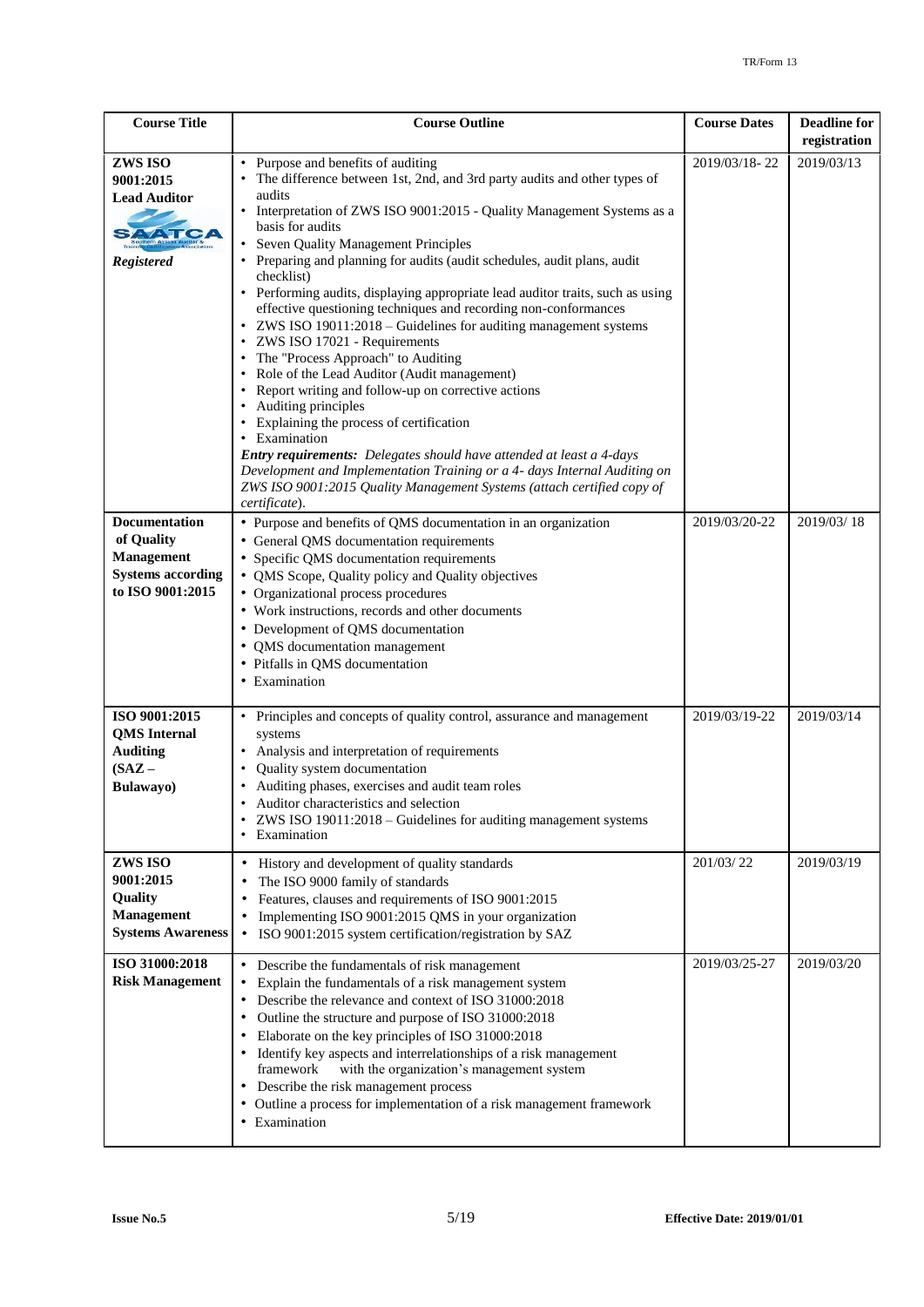| <b>Course Title</b>                                                                         | <b>Course Outline</b>                                                                                                                                                                                                                                                                                                                                                                                                                                                                                                                                                                                                                                                                                                                                                                                                                                                                                                                                                                                                                                                                                                                                                                          | <b>Course Dates</b>            | <b>Deadline for</b><br>registration |
|---------------------------------------------------------------------------------------------|------------------------------------------------------------------------------------------------------------------------------------------------------------------------------------------------------------------------------------------------------------------------------------------------------------------------------------------------------------------------------------------------------------------------------------------------------------------------------------------------------------------------------------------------------------------------------------------------------------------------------------------------------------------------------------------------------------------------------------------------------------------------------------------------------------------------------------------------------------------------------------------------------------------------------------------------------------------------------------------------------------------------------------------------------------------------------------------------------------------------------------------------------------------------------------------------|--------------------------------|-------------------------------------|
| ZWS ISO<br>9001:2015<br><b>Lead Auditor</b><br><b>Registered</b><br><b>Documentation</b>    | Purpose and benefits of auditing<br>The difference between 1st, 2nd, and 3rd party audits and other types of<br>audits<br>Interpretation of ZWS ISO 9001:2015 - Quality Management Systems as a<br>basis for audits<br>Seven Quality Management Principles<br>Preparing and planning for audits (audit schedules, audit plans, audit<br>checklist)<br>Performing audits, displaying appropriate lead auditor traits, such as using<br>effective questioning techniques and recording non-conformances<br>ZWS ISO 19011:2018 - Guidelines for auditing management systems<br>٠<br>ZWS ISO 17021 - Requirements<br>٠<br>The "Process Approach" to Auditing<br>Role of the Lead Auditor (Audit management)<br>$\bullet$<br>Report writing and follow-up on corrective actions<br>$\bullet$<br>• Auditing principles<br>Explaining the process of certification<br>• Examination<br>Entry requirements: Delegates should have attended at least a 4-days<br>Development and Implementation Training or a 4- days Internal Auditing on<br>ZWS ISO 9001:2015 Quality Management Systems (attach certified copy of<br>certificate).<br>• Purpose and benefits of QMS documentation in an organization | 2019/03/18-22<br>2019/03/20-22 | 2019/03/13<br>2019/03/18            |
| of Quality<br><b>Management</b><br><b>Systems according</b><br>to ISO 9001:2015             | • General QMS documentation requirements<br>• Specific QMS documentation requirements<br>• QMS Scope, Quality policy and Quality objectives<br>• Organizational process procedures<br>• Work instructions, records and other documents<br>• Development of QMS documentation<br>• QMS documentation management<br>• Pitfalls in QMS documentation<br>• Examination                                                                                                                                                                                                                                                                                                                                                                                                                                                                                                                                                                                                                                                                                                                                                                                                                             |                                |                                     |
| ISO 9001:2015<br><b>QMS</b> Internal<br><b>Auditing</b><br>$(SAZ -$<br>Bulawayo)<br>ZWS ISO | • Principles and concepts of quality control, assurance and management<br>systems<br>Analysis and interpretation of requirements<br>٠<br>Quality system documentation<br>Auditing phases, exercises and audit team roles<br>Auditor characteristics and selection<br>ZWS ISO 19011:2018 – Guidelines for auditing management systems<br>٠<br>• Examination<br>History and development of quality standards<br>٠                                                                                                                                                                                                                                                                                                                                                                                                                                                                                                                                                                                                                                                                                                                                                                                | 2019/03/19-22<br>201/03/22     | 2019/03/14<br>2019/03/19            |
| 9001:2015<br><b>Quality</b><br><b>Management</b><br><b>Systems Awareness</b>                | The ISO 9000 family of standards<br>٠<br>Features, clauses and requirements of ISO 9001:2015<br>Implementing ISO 9001:2015 QMS in your organization<br>$\bullet$<br>ISO 9001:2015 system certification/registration by SAZ<br>$\bullet$                                                                                                                                                                                                                                                                                                                                                                                                                                                                                                                                                                                                                                                                                                                                                                                                                                                                                                                                                        |                                |                                     |
| ISO 31000:2018<br><b>Risk Management</b>                                                    | Describe the fundamentals of risk management<br>٠<br>Explain the fundamentals of a risk management system<br>٠<br>Describe the relevance and context of ISO 31000:2018<br>Outline the structure and purpose of ISO 31000:2018<br>٠<br>Elaborate on the key principles of ISO 31000:2018<br>٠<br>Identify key aspects and interrelationships of a risk management<br>with the organization's management system<br>framework<br>Describe the risk management process<br>٠<br>• Outline a process for implementation of a risk management framework<br>• Examination                                                                                                                                                                                                                                                                                                                                                                                                                                                                                                                                                                                                                              | 2019/03/25-27                  | 2019/03/20                          |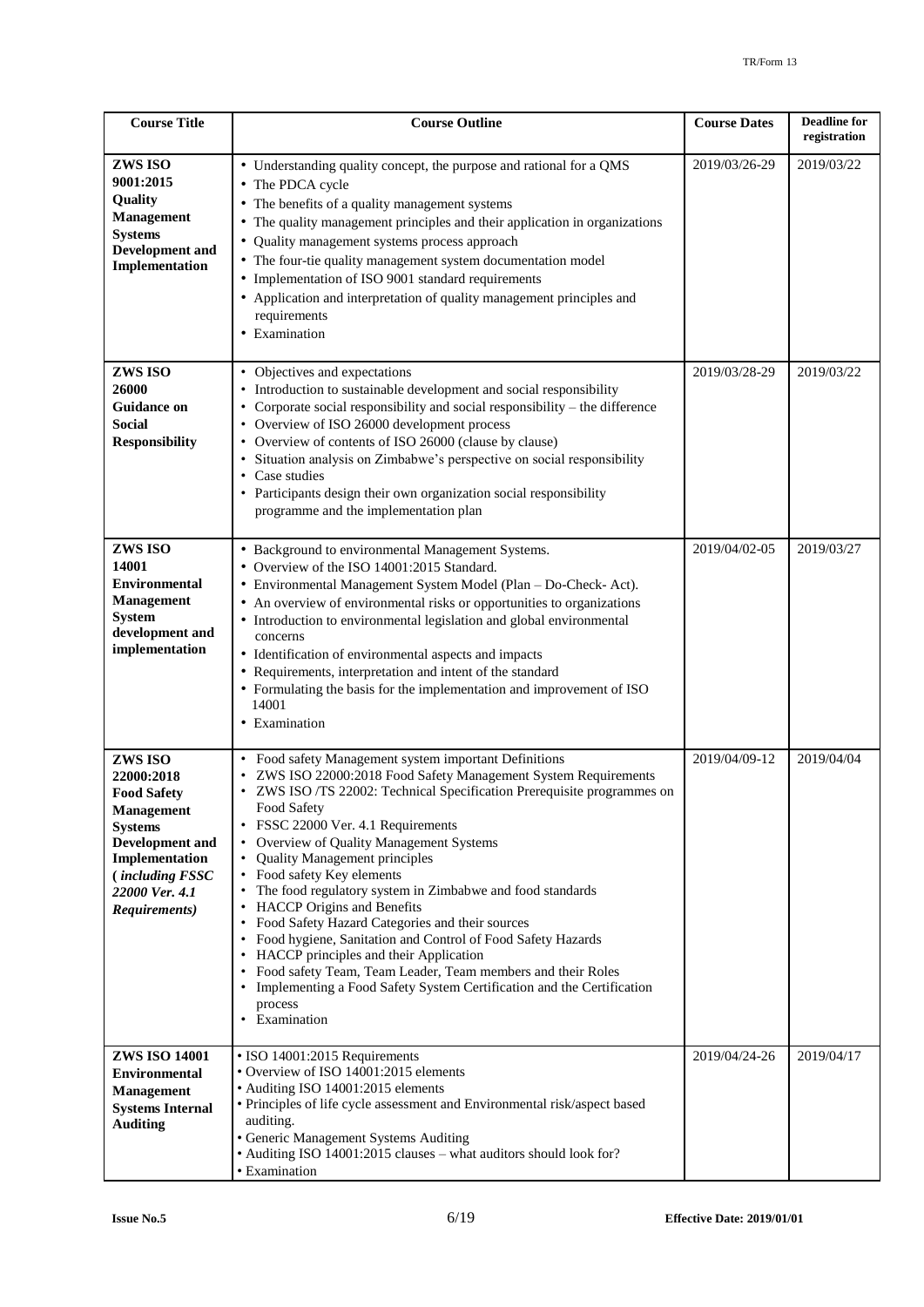| <b>Course Title</b>                                                                                                                                                                         | <b>Course Outline</b>                                                                                                                                                                                                                                                                                                                                                                                                                                                                                                                                                                                                                                                                                                                                                                                                                                                        | <b>Course Dates</b> | <b>Deadline for</b><br>registration |
|---------------------------------------------------------------------------------------------------------------------------------------------------------------------------------------------|------------------------------------------------------------------------------------------------------------------------------------------------------------------------------------------------------------------------------------------------------------------------------------------------------------------------------------------------------------------------------------------------------------------------------------------------------------------------------------------------------------------------------------------------------------------------------------------------------------------------------------------------------------------------------------------------------------------------------------------------------------------------------------------------------------------------------------------------------------------------------|---------------------|-------------------------------------|
| ZWS ISO<br>9001:2015<br>Quality<br><b>Management</b><br><b>Systems</b><br><b>Development</b> and<br>Implementation                                                                          | • Understanding quality concept, the purpose and rational for a QMS<br>• The PDCA cycle<br>• The benefits of a quality management systems<br>• The quality management principles and their application in organizations<br>Quality management systems process approach<br>• The four-tie quality management system documentation model<br>• Implementation of ISO 9001 standard requirements<br>• Application and interpretation of quality management principles and<br>requirements<br>• Examination                                                                                                                                                                                                                                                                                                                                                                       | 2019/03/26-29       | 2019/03/22                          |
| ZWS ISO<br>26000<br><b>Guidance on</b><br><b>Social</b><br><b>Responsibility</b>                                                                                                            | • Objectives and expectations<br>• Introduction to sustainable development and social responsibility<br>• Corporate social responsibility and social responsibility – the difference<br>• Overview of ISO 26000 development process<br>• Overview of contents of ISO 26000 (clause by clause)<br>Situation analysis on Zimbabwe's perspective on social responsibility<br>٠<br>• Case studies<br>• Participants design their own organization social responsibility<br>programme and the implementation plan                                                                                                                                                                                                                                                                                                                                                                 | 2019/03/28-29       | 2019/03/22                          |
| ZWS ISO<br>14001<br><b>Environmental</b><br><b>Management</b><br><b>System</b><br>development and<br>implementation                                                                         | • Background to environmental Management Systems.<br>• Overview of the ISO 14001:2015 Standard.<br>• Environmental Management System Model (Plan - Do-Check- Act).<br>• An overview of environmental risks or opportunities to organizations<br>• Introduction to environmental legislation and global environmental<br>concerns<br>• Identification of environmental aspects and impacts<br>• Requirements, interpretation and intent of the standard<br>• Formulating the basis for the implementation and improvement of ISO<br>14001<br>• Examination                                                                                                                                                                                                                                                                                                                    | 2019/04/02-05       | 2019/03/27                          |
| ZWS ISO<br>22000:2018<br><b>Food Safety</b><br><b>Management</b><br><b>Systems</b><br><b>Development</b> and<br>Implementation<br><i>(including FSSC</i><br>22000 Ver. 4.1<br>Requirements) | Food safety Management system important Definitions<br>ZWS ISO 22000:2018 Food Safety Management System Requirements<br>ZWS ISO /TS 22002: Technical Specification Prerequisite programmes on<br>Food Safety<br>FSSC 22000 Ver. 4.1 Requirements<br>Overview of Quality Management Systems<br>$\bullet$<br><b>Quality Management principles</b><br>$\bullet$<br>• Food safety Key elements<br>The food regulatory system in Zimbabwe and food standards<br>HACCP Origins and Benefits<br>Food Safety Hazard Categories and their sources<br>$\bullet$<br>Food hygiene, Sanitation and Control of Food Safety Hazards<br>$\bullet$<br>HACCP principles and their Application<br>Food safety Team, Team Leader, Team members and their Roles<br>$\bullet$<br>Implementing a Food Safety System Certification and the Certification<br>$\bullet$<br>process<br>Examination<br>٠ | 2019/04/09-12       | 2019/04/04                          |
| <b>ZWS ISO 14001</b><br><b>Environmental</b><br><b>Management</b><br><b>Systems Internal</b><br><b>Auditing</b>                                                                             | • ISO 14001:2015 Requirements<br>• Overview of ISO 14001:2015 elements<br>• Auditing ISO 14001:2015 elements<br>• Principles of life cycle assessment and Environmental risk/aspect based<br>auditing.<br>• Generic Management Systems Auditing<br>• Auditing ISO 14001:2015 clauses - what auditors should look for?<br>• Examination                                                                                                                                                                                                                                                                                                                                                                                                                                                                                                                                       | 2019/04/24-26       | 2019/04/17                          |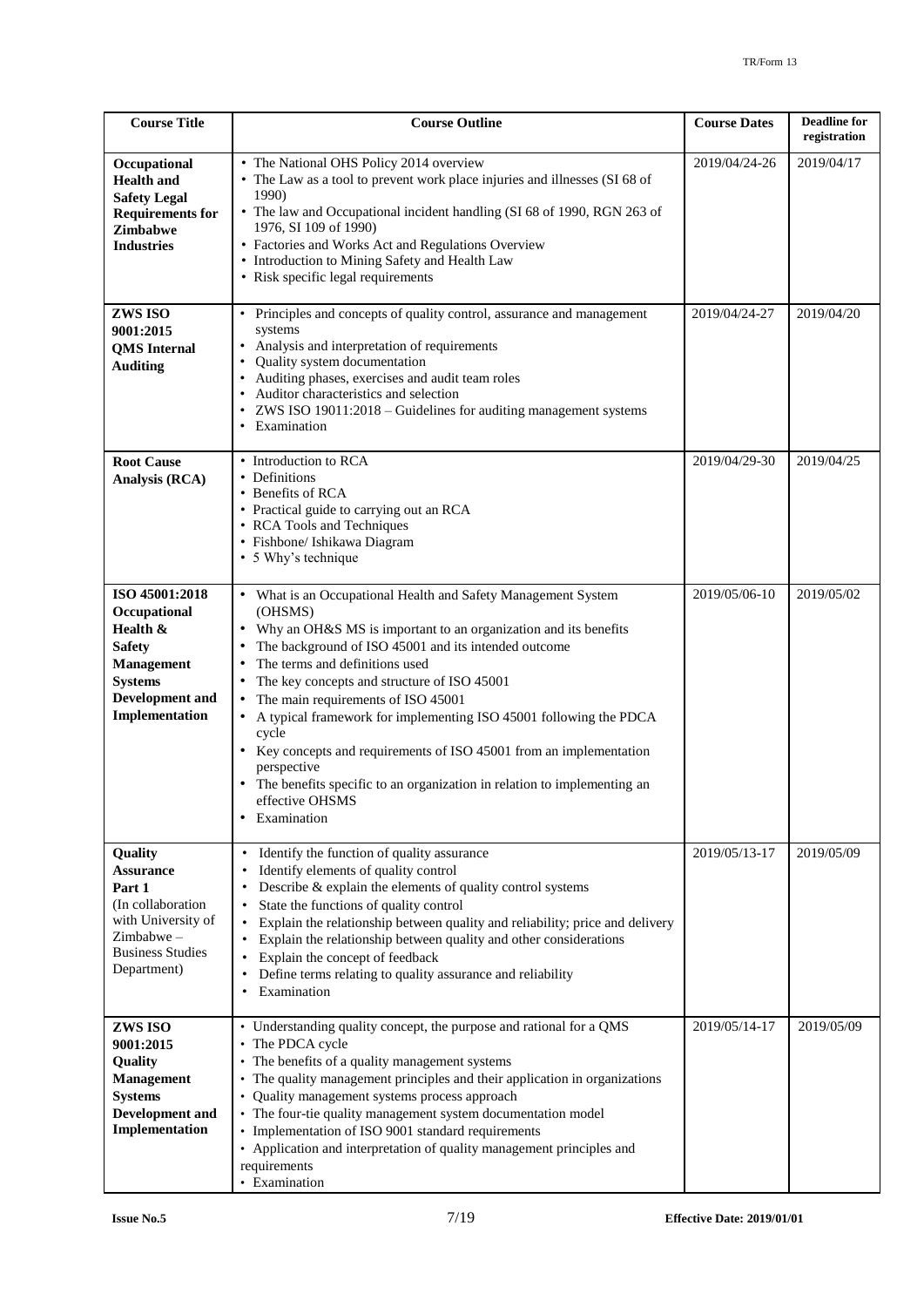| <b>Course Title</b>                                                                                                                            | <b>Course Outline</b>                                                                                                                                                                                                                                                                                                                                                                                                                                                                                                                                                                                                                                 | <b>Course Dates</b> | <b>Deadline for</b><br>registration |
|------------------------------------------------------------------------------------------------------------------------------------------------|-------------------------------------------------------------------------------------------------------------------------------------------------------------------------------------------------------------------------------------------------------------------------------------------------------------------------------------------------------------------------------------------------------------------------------------------------------------------------------------------------------------------------------------------------------------------------------------------------------------------------------------------------------|---------------------|-------------------------------------|
| Occupational<br><b>Health and</b><br><b>Safety Legal</b><br><b>Requirements for</b><br>Zimbabwe<br><b>Industries</b>                           | • The National OHS Policy 2014 overview<br>• The Law as a tool to prevent work place injuries and illnesses (SI 68 of<br>1990)<br>• The law and Occupational incident handling (SI 68 of 1990, RGN 263 of<br>1976, SI 109 of 1990)<br>• Factories and Works Act and Regulations Overview<br>• Introduction to Mining Safety and Health Law<br>• Risk specific legal requirements                                                                                                                                                                                                                                                                      | 2019/04/24-26       | 2019/04/17                          |
| ZWS ISO<br>9001:2015<br><b>QMS</b> Internal<br><b>Auditing</b>                                                                                 | Principles and concepts of quality control, assurance and management<br>systems<br>Analysis and interpretation of requirements<br>Quality system documentation<br>$\bullet$<br>Auditing phases, exercises and audit team roles<br>Auditor characteristics and selection<br>ZWS ISO 19011:2018 - Guidelines for auditing management systems<br>Examination<br>$\bullet$                                                                                                                                                                                                                                                                                | 2019/04/24-27       | 2019/04/20                          |
| <b>Root Cause</b><br>Analysis (RCA)                                                                                                            | • Introduction to RCA<br>• Definitions<br>• Benefits of RCA<br>• Practical guide to carrying out an RCA<br>• RCA Tools and Techniques<br>· Fishbone/ Ishikawa Diagram<br>• 5 Why's technique                                                                                                                                                                                                                                                                                                                                                                                                                                                          | 2019/04/29-30       | 2019/04/25                          |
| ISO 45001:2018<br>Occupational<br>Health &<br><b>Safety</b><br><b>Management</b><br><b>Systems</b><br><b>Development</b> and<br>Implementation | • What is an Occupational Health and Safety Management System<br>(OHSMS)<br>Why an OH&S MS is important to an organization and its benefits<br>The background of ISO 45001 and its intended outcome<br>The terms and definitions used<br>$\bullet$<br>The key concepts and structure of ISO 45001<br>The main requirements of ISO 45001<br>$\bullet$<br>A typical framework for implementing ISO 45001 following the PDCA<br>$\bullet$<br>cycle<br>Key concepts and requirements of ISO 45001 from an implementation<br>perspective<br>The benefits specific to an organization in relation to implementing an<br>effective OHSMS<br>Examination<br>٠ | 2019/05/06-10       | 2019/05/02                          |
| Quality<br><b>Assurance</b><br>Part 1<br>(In collaboration<br>with University of<br>Zimbabwe-<br><b>Business Studies</b><br>Department)        | Identify the function of quality assurance<br>$\bullet$<br>Identify elements of quality control<br>٠<br>Describe & explain the elements of quality control systems<br>State the functions of quality control<br>$\bullet$<br>Explain the relationship between quality and reliability; price and delivery<br>Explain the relationship between quality and other considerations<br>Explain the concept of feedback<br>Define terms relating to quality assurance and reliability<br>Examination                                                                                                                                                        | 2019/05/13-17       | 2019/05/09                          |
| ZWS ISO<br>9001:2015<br><b>Quality</b><br><b>Management</b><br><b>Systems</b><br><b>Development</b> and<br>Implementation                      | Understanding quality concept, the purpose and rational for a QMS<br>The PDCA cycle<br>$\bullet$<br>• The benefits of a quality management systems<br>The quality management principles and their application in organizations<br>$\bullet$<br>Quality management systems process approach<br>The four-tie quality management system documentation model<br>Implementation of ISO 9001 standard requirements<br>• Application and interpretation of quality management principles and<br>requirements<br>• Examination                                                                                                                                | 2019/05/14-17       | 2019/05/09                          |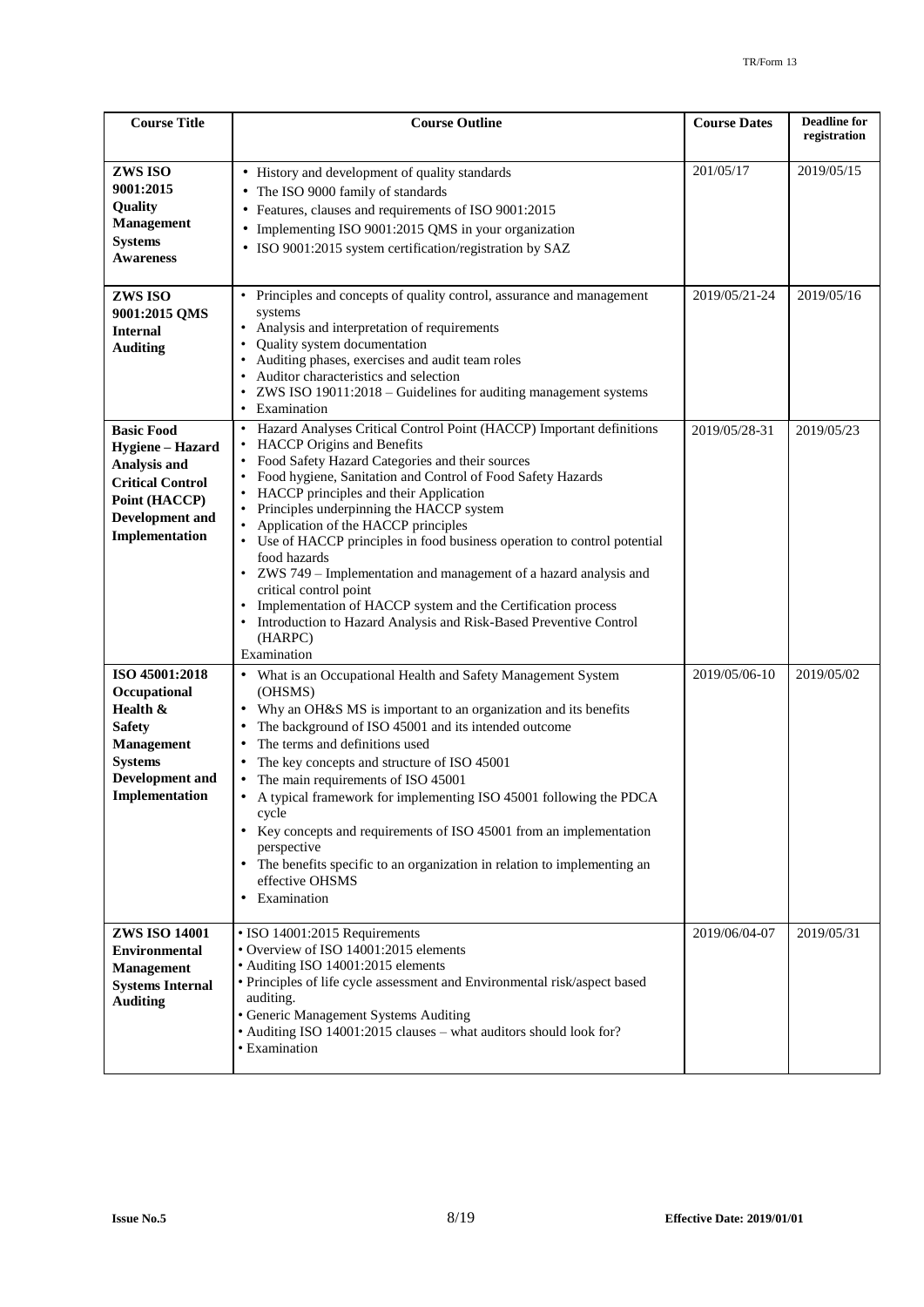| <b>Course Title</b>                                                                                                                            | <b>Course Outline</b>                                                                                                                                                                                                                                                                                                                                                                                                                                                                                                                                                                                                                                                                                                                      | <b>Course Dates</b> | <b>Deadline for</b><br>registration |
|------------------------------------------------------------------------------------------------------------------------------------------------|--------------------------------------------------------------------------------------------------------------------------------------------------------------------------------------------------------------------------------------------------------------------------------------------------------------------------------------------------------------------------------------------------------------------------------------------------------------------------------------------------------------------------------------------------------------------------------------------------------------------------------------------------------------------------------------------------------------------------------------------|---------------------|-------------------------------------|
| ZWS ISO<br>9001:2015<br><b>Quality</b><br><b>Management</b><br><b>Systems</b><br><b>Awareness</b>                                              | • History and development of quality standards<br>The ISO 9000 family of standards<br>Features, clauses and requirements of ISO 9001:2015<br>Implementing ISO 9001:2015 QMS in your organization<br>ISO 9001:2015 system certification/registration by SAZ                                                                                                                                                                                                                                                                                                                                                                                                                                                                                 | 201/05/17           | 2019/05/15                          |
| ZWS ISO<br>9001:2015 QMS<br><b>Internal</b><br><b>Auditing</b>                                                                                 | Principles and concepts of quality control, assurance and management<br>systems<br>Analysis and interpretation of requirements<br>Quality system documentation<br>$\bullet$<br>Auditing phases, exercises and audit team roles<br>Auditor characteristics and selection<br>ZWS ISO 19011:2018 - Guidelines for auditing management systems<br>$\bullet$<br>Examination<br>٠                                                                                                                                                                                                                                                                                                                                                                | 2019/05/21-24       | 2019/05/16                          |
| <b>Basic Food</b><br>Hygiene - Hazard<br>Analysis and<br><b>Critical Control</b><br>Point (HACCP)<br>Development and<br>Implementation         | Hazard Analyses Critical Control Point (HACCP) Important definitions<br>$\bullet$<br><b>HACCP</b> Origins and Benefits<br>$\bullet$<br>Food Safety Hazard Categories and their sources<br>Food hygiene, Sanitation and Control of Food Safety Hazards<br>HACCP principles and their Application<br>Principles underpinning the HACCP system<br>Application of the HACCP principles<br>Use of HACCP principles in food business operation to control potential<br>food hazards<br>ZWS 749 - Implementation and management of a hazard analysis and<br>critical control point<br>Implementation of HACCP system and the Certification process<br>Introduction to Hazard Analysis and Risk-Based Preventive Control<br>(HARPC)<br>Examination | 2019/05/28-31       | 2019/05/23                          |
| ISO 45001:2018<br>Occupational<br>Health &<br><b>Safety</b><br><b>Management</b><br><b>Systems</b><br><b>Development</b> and<br>Implementation | • What is an Occupational Health and Safety Management System<br>(OHSMS)<br>Why an OH&S MS is important to an organization and its benefits<br>The background of ISO 45001 and its intended outcome<br>$\bullet$<br>The terms and definitions used<br>٠<br>The key concepts and structure of ISO 45001<br>The main requirements of ISO 45001<br>A typical framework for implementing ISO 45001 following the PDCA<br>cycle<br>Key concepts and requirements of ISO 45001 from an implementation<br>perspective<br>The benefits specific to an organization in relation to implementing an<br>effective OHSMS<br>Examination                                                                                                                | 2019/05/06-10       | 2019/05/02                          |
| <b>ZWS ISO 14001</b><br><b>Environmental</b><br><b>Management</b><br><b>Systems Internal</b><br><b>Auditing</b>                                | · ISO 14001:2015 Requirements<br>• Overview of ISO 14001:2015 elements<br>• Auditing ISO 14001:2015 elements<br>• Principles of life cycle assessment and Environmental risk/aspect based<br>auditing.<br>• Generic Management Systems Auditing<br>• Auditing ISO 14001:2015 clauses - what auditors should look for?<br>• Examination                                                                                                                                                                                                                                                                                                                                                                                                     | 2019/06/04-07       | 2019/05/31                          |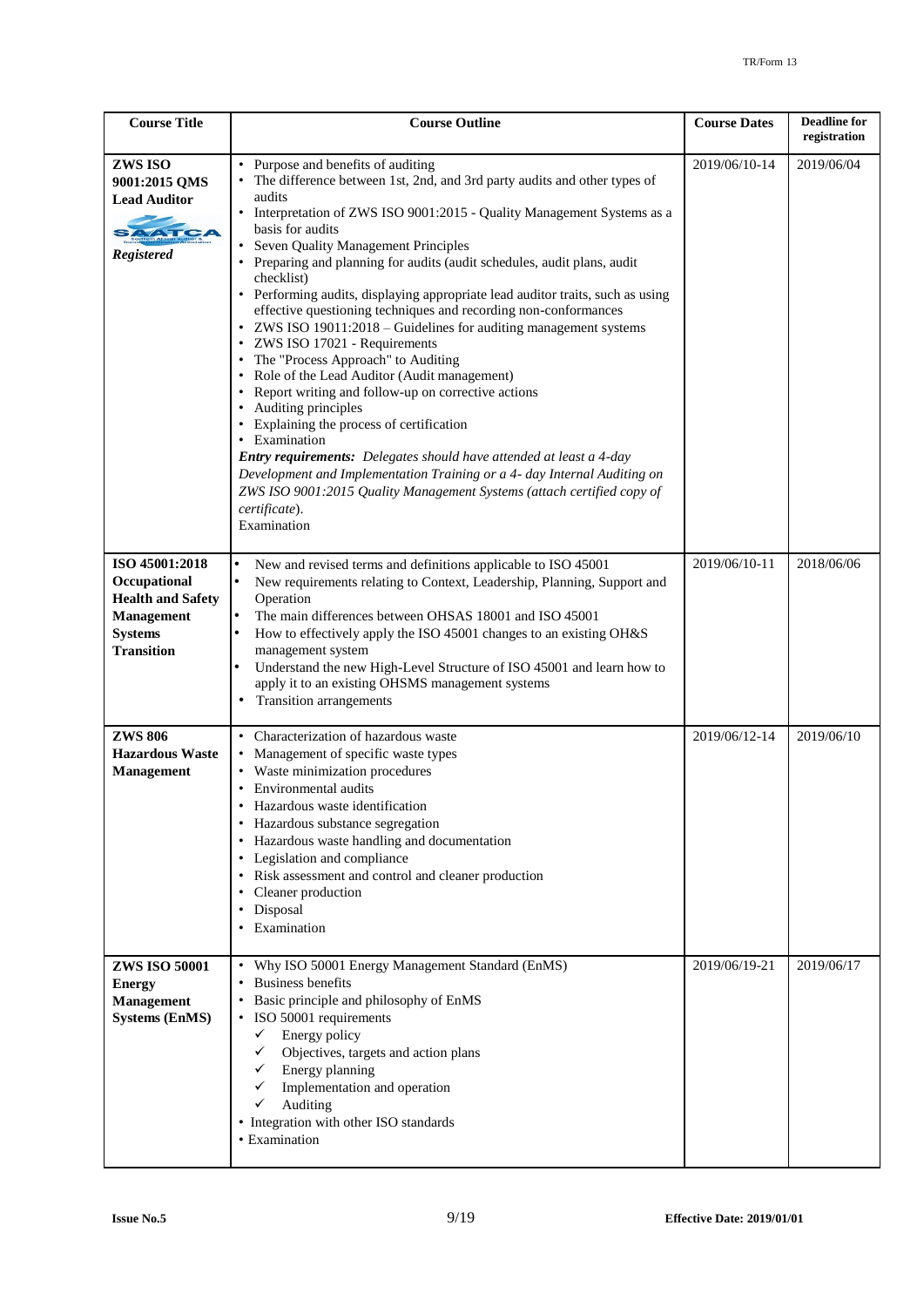| <b>Course Title</b>                                                                                                    | <b>Course Outline</b>                                                                                                                                                                                                                                                                                                                                                                                                                                                                                                                                                                                                                                                                                                                                                                                                                                                                                                                                                                                                                                                                                               | <b>Course Dates</b> | <b>Deadline for</b><br>registration |
|------------------------------------------------------------------------------------------------------------------------|---------------------------------------------------------------------------------------------------------------------------------------------------------------------------------------------------------------------------------------------------------------------------------------------------------------------------------------------------------------------------------------------------------------------------------------------------------------------------------------------------------------------------------------------------------------------------------------------------------------------------------------------------------------------------------------------------------------------------------------------------------------------------------------------------------------------------------------------------------------------------------------------------------------------------------------------------------------------------------------------------------------------------------------------------------------------------------------------------------------------|---------------------|-------------------------------------|
| ZWS ISO<br>9001:2015 QMS<br><b>Lead Auditor</b><br><b>Registered</b>                                                   | • Purpose and benefits of auditing<br>The difference between 1st, 2nd, and 3rd party audits and other types of<br>audits<br>• Interpretation of ZWS ISO 9001:2015 - Quality Management Systems as a<br>basis for audits<br>Seven Quality Management Principles<br>Preparing and planning for audits (audit schedules, audit plans, audit<br>checklist)<br>• Performing audits, displaying appropriate lead auditor traits, such as using<br>effective questioning techniques and recording non-conformances<br>• ZWS ISO 19011:2018 – Guidelines for auditing management systems<br>• ZWS ISO 17021 - Requirements<br>• The "Process Approach" to Auditing<br>Role of the Lead Auditor (Audit management)<br>Report writing and follow-up on corrective actions<br>• Auditing principles<br>• Explaining the process of certification<br>• Examination<br>Entry requirements: Delegates should have attended at least a 4-day<br>Development and Implementation Training or a 4- day Internal Auditing on<br>ZWS ISO 9001:2015 Quality Management Systems (attach certified copy of<br>certificate).<br>Examination | 2019/06/10-14       | 2019/06/04                          |
| ISO 45001:2018<br>Occupational<br><b>Health and Safety</b><br><b>Management</b><br><b>Systems</b><br><b>Transition</b> | New and revised terms and definitions applicable to ISO 45001<br>New requirements relating to Context, Leadership, Planning, Support and<br>Operation<br>The main differences between OHSAS 18001 and ISO 45001<br>How to effectively apply the ISO 45001 changes to an existing OH&S<br>management system<br>Understand the new High-Level Structure of ISO 45001 and learn how to<br>apply it to an existing OHSMS management systems<br>Transition arrangements                                                                                                                                                                                                                                                                                                                                                                                                                                                                                                                                                                                                                                                  | 2019/06/10-11       | 2018/06/06                          |
| <b>ZWS 806</b><br><b>Hazardous Waste</b><br><b>Management</b>                                                          | • Characterization of hazardous waste<br>• Management of specific waste types<br>• Waste minimization procedures<br>Environmental audits<br>Hazardous waste identification<br>Hazardous substance segregation<br>Hazardous waste handling and documentation<br>• Legislation and compliance<br>• Risk assessment and control and cleaner production<br>Cleaner production<br>Disposal<br>٠<br>Examination                                                                                                                                                                                                                                                                                                                                                                                                                                                                                                                                                                                                                                                                                                           | 2019/06/12-14       | 2019/06/10                          |
| <b>ZWS ISO 50001</b><br><b>Energy</b><br><b>Management</b><br><b>Systems (EnMS)</b>                                    | • Why ISO 50001 Energy Management Standard (EnMS)<br>• Business benefits<br>Basic principle and philosophy of EnMS<br>• ISO 50001 requirements<br>✓<br>Energy policy<br>Objectives, targets and action plans<br>✓<br>Energy planning<br>✓<br>Implementation and operation<br>✓<br>Auditing<br>✓<br>• Integration with other ISO standards<br>• Examination                                                                                                                                                                                                                                                                                                                                                                                                                                                                                                                                                                                                                                                                                                                                                          | 2019/06/19-21       | 2019/06/17                          |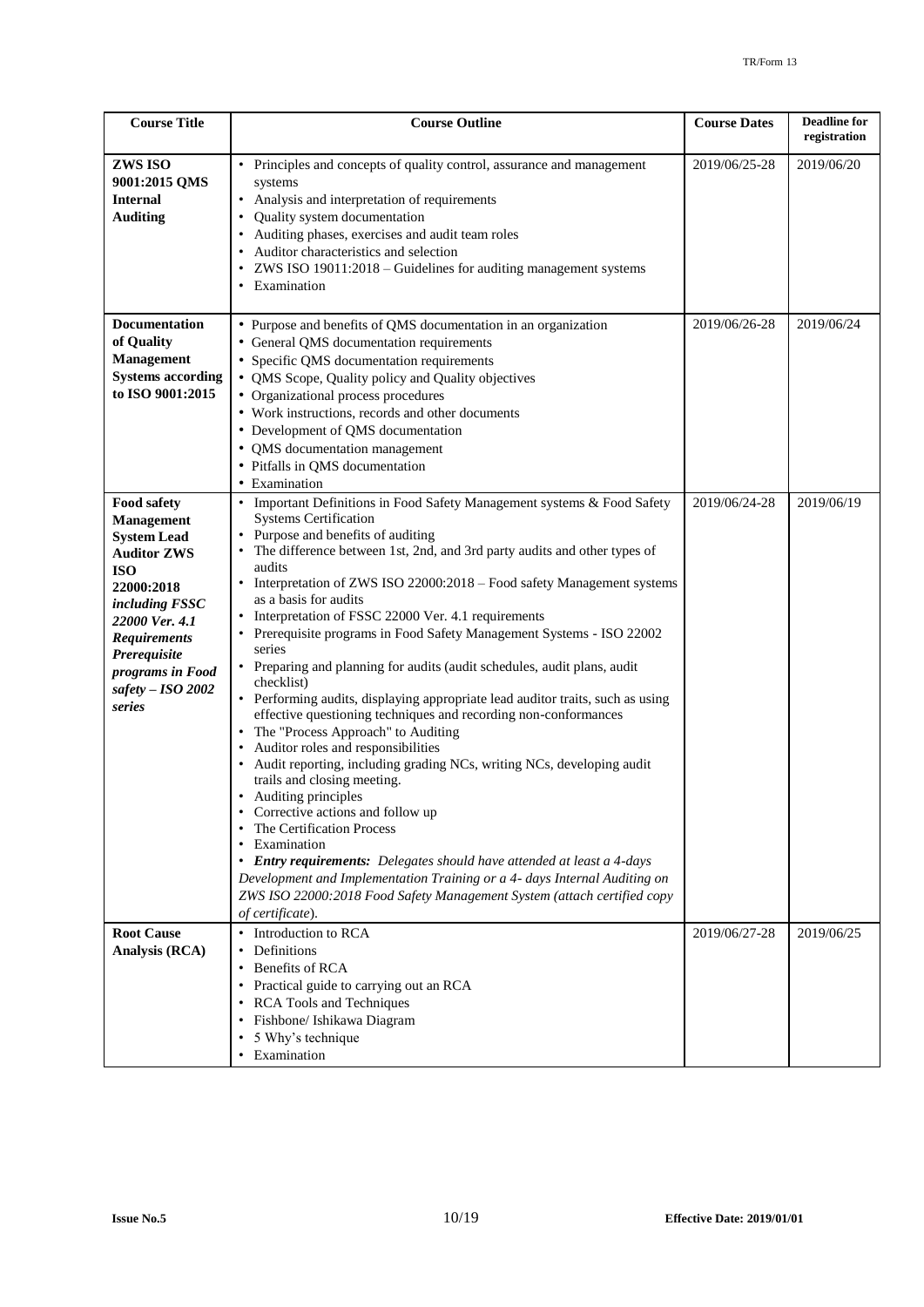| <b>Course Title</b>                                                                                                                                                                                                                             | <b>Course Outline</b>                                                                                                                                                                                                                                                                                                                                                                                                                                                                                                                                                                                                                                                                                                                                                                                                                                                                                                                                                                                                                                                                                                                                                                                                                                                              | <b>Course Dates</b> | <b>Deadline</b> for<br>registration |
|-------------------------------------------------------------------------------------------------------------------------------------------------------------------------------------------------------------------------------------------------|------------------------------------------------------------------------------------------------------------------------------------------------------------------------------------------------------------------------------------------------------------------------------------------------------------------------------------------------------------------------------------------------------------------------------------------------------------------------------------------------------------------------------------------------------------------------------------------------------------------------------------------------------------------------------------------------------------------------------------------------------------------------------------------------------------------------------------------------------------------------------------------------------------------------------------------------------------------------------------------------------------------------------------------------------------------------------------------------------------------------------------------------------------------------------------------------------------------------------------------------------------------------------------|---------------------|-------------------------------------|
| ZWS ISO<br>9001:2015 QMS<br><b>Internal</b><br><b>Auditing</b>                                                                                                                                                                                  | • Principles and concepts of quality control, assurance and management<br>systems<br>• Analysis and interpretation of requirements<br>Quality system documentation<br>Auditing phases, exercises and audit team roles<br>Auditor characteristics and selection<br>ZWS ISO 19011:2018 - Guidelines for auditing management systems<br>• Examination                                                                                                                                                                                                                                                                                                                                                                                                                                                                                                                                                                                                                                                                                                                                                                                                                                                                                                                                 | 2019/06/25-28       | 2019/06/20                          |
| <b>Documentation</b><br>of Quality<br><b>Management</b><br><b>Systems according</b><br>to ISO 9001:2015                                                                                                                                         | • Purpose and benefits of QMS documentation in an organization<br>• General QMS documentation requirements<br>• Specific QMS documentation requirements<br>QMS Scope, Quality policy and Quality objectives<br>• Organizational process procedures<br>• Work instructions, records and other documents<br>• Development of QMS documentation<br>• QMS documentation management<br>• Pitfalls in QMS documentation<br>• Examination                                                                                                                                                                                                                                                                                                                                                                                                                                                                                                                                                                                                                                                                                                                                                                                                                                                 | 2019/06/26-28       | 2019/06/24                          |
| Food safety<br><b>Management</b><br><b>System Lead</b><br><b>Auditor ZWS</b><br><b>ISO</b><br>22000:2018<br><i>including FSSC</i><br>22000 Ver. 4.1<br><b>Requirements</b><br>Prerequisite<br>programs in Food<br>safety $-$ ISO 2002<br>series | • Important Definitions in Food Safety Management systems & Food Safety<br><b>Systems Certification</b><br>• Purpose and benefits of auditing<br>The difference between 1st, 2nd, and 3rd party audits and other types of<br>audits<br>• Interpretation of ZWS ISO 22000:2018 - Food safety Management systems<br>as a basis for audits<br>• Interpretation of FSSC 22000 Ver. 4.1 requirements<br>Prerequisite programs in Food Safety Management Systems - ISO 22002<br>series<br>• Preparing and planning for audits (audit schedules, audit plans, audit<br>checklist)<br>• Performing audits, displaying appropriate lead auditor traits, such as using<br>effective questioning techniques and recording non-conformances<br>The "Process Approach" to Auditing<br>Auditor roles and responsibilities<br>Audit reporting, including grading NCs, writing NCs, developing audit<br>trails and closing meeting.<br>• Auditing principles<br>Corrective actions and follow up<br>The Certification Process<br>Examination<br>• Entry requirements: Delegates should have attended at least a 4-days<br>Development and Implementation Training or a 4- days Internal Auditing on<br>ZWS ISO 22000:2018 Food Safety Management System (attach certified copy<br>of certificate). | 2019/06/24-28       | 2019/06/19                          |
| <b>Root Cause</b><br>Analysis (RCA)                                                                                                                                                                                                             | Introduction to RCA<br>$\bullet$<br>Definitions<br>Benefits of RCA<br>Practical guide to carrying out an RCA<br><b>RCA Tools and Techniques</b><br>Fishbone/ Ishikawa Diagram<br>5 Why's technique<br>$\bullet$<br>Examination                                                                                                                                                                                                                                                                                                                                                                                                                                                                                                                                                                                                                                                                                                                                                                                                                                                                                                                                                                                                                                                     | 2019/06/27-28       | 2019/06/25                          |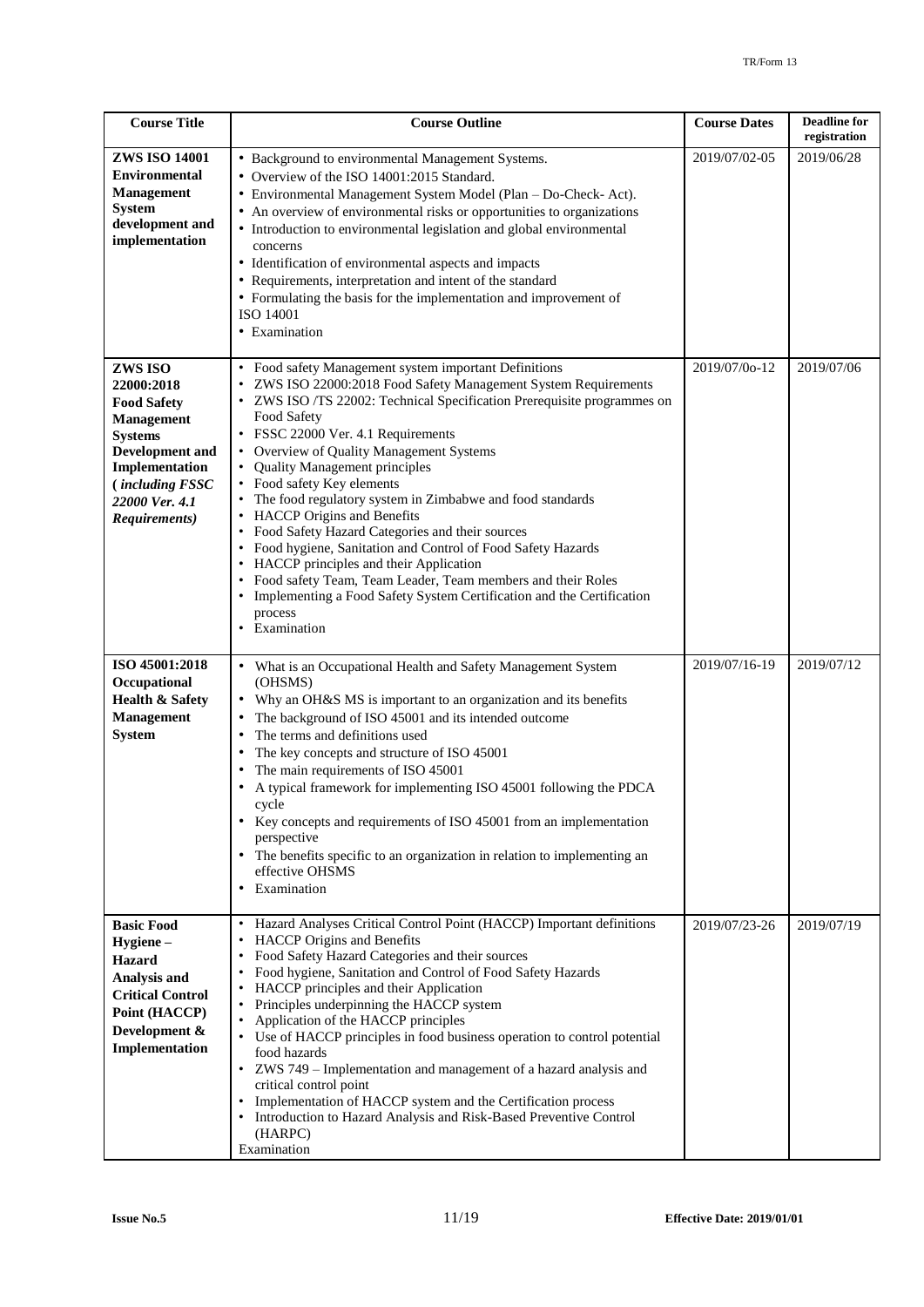| <b>Course Title</b>                                                                                                                                                                         | <b>Course Outline</b>                                                                                                                                                                                                                                                                                                                                                                                                                                                                                                                                                                                                                                                                                                                                                                                           | <b>Course Dates</b> | <b>Deadline</b> for<br>registration |
|---------------------------------------------------------------------------------------------------------------------------------------------------------------------------------------------|-----------------------------------------------------------------------------------------------------------------------------------------------------------------------------------------------------------------------------------------------------------------------------------------------------------------------------------------------------------------------------------------------------------------------------------------------------------------------------------------------------------------------------------------------------------------------------------------------------------------------------------------------------------------------------------------------------------------------------------------------------------------------------------------------------------------|---------------------|-------------------------------------|
| <b>ZWS ISO 14001</b><br><b>Environmental</b><br><b>Management</b><br><b>System</b><br>development and<br>implementation                                                                     | • Background to environmental Management Systems.<br>• Overview of the ISO 14001:2015 Standard.<br>• Environmental Management System Model (Plan - Do-Check- Act).<br>• An overview of environmental risks or opportunities to organizations<br>• Introduction to environmental legislation and global environmental<br>concerns<br>• Identification of environmental aspects and impacts<br>• Requirements, interpretation and intent of the standard<br>• Formulating the basis for the implementation and improvement of<br>ISO 14001<br>• Examination                                                                                                                                                                                                                                                       | 2019/07/02-05       | 2019/06/28                          |
| ZWS ISO<br>22000:2018<br><b>Food Safety</b><br><b>Management</b><br><b>Systems</b><br><b>Development</b> and<br>Implementation<br><i>(including FSSC</i><br>22000 Ver. 4.1<br>Requirements) | • Food safety Management system important Definitions<br>ZWS ISO 22000:2018 Food Safety Management System Requirements<br>• ZWS ISO /TS 22002: Technical Specification Prerequisite programmes on<br>Food Safety<br>• FSSC 22000 Ver. 4.1 Requirements<br>• Overview of Quality Management Systems<br><b>Quality Management principles</b><br>• Food safety Key elements<br>• The food regulatory system in Zimbabwe and food standards<br>• HACCP Origins and Benefits<br>• Food Safety Hazard Categories and their sources<br>• Food hygiene, Sanitation and Control of Food Safety Hazards<br>• HACCP principles and their Application<br>• Food safety Team, Team Leader, Team members and their Roles<br>• Implementing a Food Safety System Certification and the Certification<br>process<br>Examination | 2019/07/0o-12       | 2019/07/06                          |
| ISO 45001:2018<br>Occupational<br><b>Health &amp; Safety</b><br><b>Management</b><br><b>System</b>                                                                                          | • What is an Occupational Health and Safety Management System<br>(OHSMS)<br>Why an OH&S MS is important to an organization and its benefits<br>The background of ISO 45001 and its intended outcome<br>The terms and definitions used<br>The key concepts and structure of ISO 45001<br>The main requirements of ISO 45001<br>A typical framework for implementing ISO 45001 following the PDCA<br>cycle<br>• Key concepts and requirements of ISO 45001 from an implementation<br>perspective<br>• The benefits specific to an organization in relation to implementing an<br>effective OHSMS<br>• Examination                                                                                                                                                                                                 | 2019/07/16-19       | 2019/07/12                          |
| <b>Basic Food</b><br>Hygiene-<br><b>Hazard</b><br>Analysis and<br><b>Critical Control</b><br>Point (HACCP)<br>Development &<br>Implementation                                               | Hazard Analyses Critical Control Point (HACCP) Important definitions<br>$\bullet$<br>HACCP Origins and Benefits<br>$\bullet$<br>• Food Safety Hazard Categories and their sources<br>Food hygiene, Sanitation and Control of Food Safety Hazards<br>HACCP principles and their Application<br>$\bullet$<br>• Principles underpinning the HACCP system<br>• Application of the HACCP principles<br>• Use of HACCP principles in food business operation to control potential<br>food hazards<br>• ZWS 749 - Implementation and management of a hazard analysis and<br>critical control point<br>Implementation of HACCP system and the Certification process<br>• Introduction to Hazard Analysis and Risk-Based Preventive Control<br>(HARPC)<br>Examination                                                    | 2019/07/23-26       | 2019/07/19                          |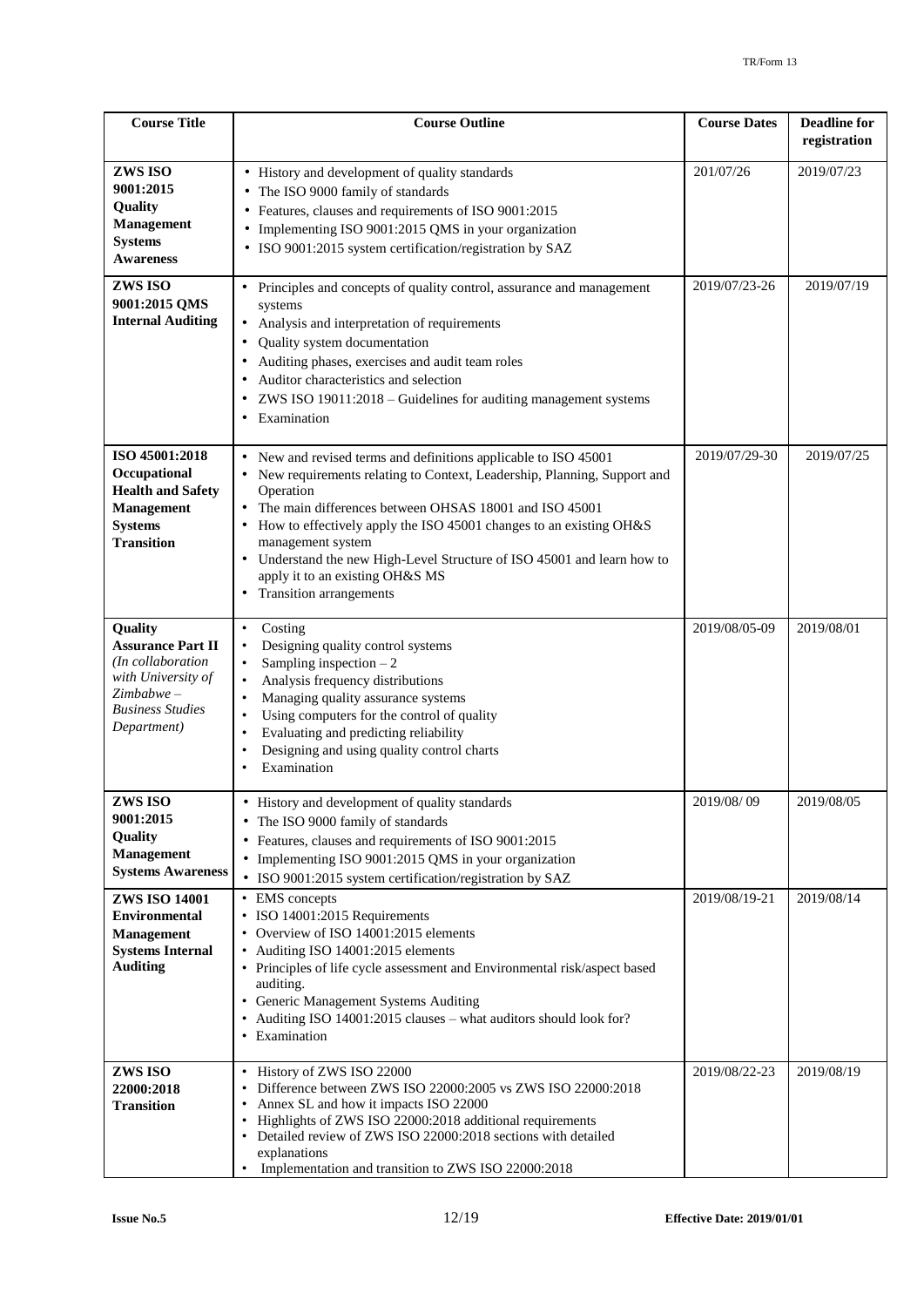| <b>Course Title</b>                                                                                                                      | <b>Course Outline</b>                                                                                                                                                                                                                                                                                                                                                                                                                                      | <b>Course Dates</b> | <b>Deadline for</b><br>registration |
|------------------------------------------------------------------------------------------------------------------------------------------|------------------------------------------------------------------------------------------------------------------------------------------------------------------------------------------------------------------------------------------------------------------------------------------------------------------------------------------------------------------------------------------------------------------------------------------------------------|---------------------|-------------------------------------|
| ZWS ISO<br>9001:2015<br>Quality<br><b>Management</b><br><b>Systems</b><br><b>Awareness</b>                                               | • History and development of quality standards<br>The ISO 9000 family of standards<br>Features, clauses and requirements of ISO 9001:2015<br>Implementing ISO 9001:2015 QMS in your organization<br>· ISO 9001:2015 system certification/registration by SAZ                                                                                                                                                                                               | 201/07/26           | 2019/07/23                          |
| ZWS ISO<br>9001:2015 QMS<br><b>Internal Auditing</b>                                                                                     | Principles and concepts of quality control, assurance and management<br>systems<br>Analysis and interpretation of requirements<br>Quality system documentation<br>Auditing phases, exercises and audit team roles<br>Auditor characteristics and selection<br>ZWS ISO 19011:2018 - Guidelines for auditing management systems<br>$\bullet$<br>Examination                                                                                                  | 2019/07/23-26       | 2019/07/19                          |
| ISO 45001:2018<br>Occupational<br><b>Health and Safety</b><br><b>Management</b><br><b>Systems</b><br><b>Transition</b>                   | New and revised terms and definitions applicable to ISO 45001<br>New requirements relating to Context, Leadership, Planning, Support and<br>Operation<br>The main differences between OHSAS 18001 and ISO 45001<br>How to effectively apply the ISO 45001 changes to an existing OH&S<br>management system<br>• Understand the new High-Level Structure of ISO 45001 and learn how to<br>apply it to an existing OH&S MS<br><b>Transition</b> arrangements | 2019/07/29-30       | 2019/07/25                          |
| Quality<br><b>Assurance Part II</b><br>(In collaboration<br>with University of<br>$Zimbabwe -$<br><b>Business Studies</b><br>Department) | Costing<br>$\bullet$<br>Designing quality control systems<br>$\bullet$<br>Sampling inspection $-2$<br>$\bullet$<br>Analysis frequency distributions<br>$\bullet$<br>Managing quality assurance systems<br>$\bullet$<br>Using computers for the control of quality<br>Evaluating and predicting reliability<br>Designing and using quality control charts<br>$\bullet$<br>Examination<br>$\bullet$                                                          | 2019/08/05-09       | 2019/08/01                          |
| ZWS ISO<br>9001:2015<br>Quality<br><b>Management</b><br><b>Systems Awareness</b>                                                         | • History and development of quality standards<br>The ISO 9000 family of standards<br>Features, clauses and requirements of ISO 9001:2015<br>Implementing ISO 9001:2015 QMS in your organization<br>• ISO 9001:2015 system certification/registration by SAZ                                                                                                                                                                                               | 2019/08/09          | 2019/08/05                          |
| <b>ZWS ISO 14001</b><br><b>Environmental</b><br><b>Management</b><br><b>Systems Internal</b><br><b>Auditing</b>                          | • EMS concepts<br>• ISO 14001:2015 Requirements<br>• Overview of ISO 14001:2015 elements<br>• Auditing ISO 14001:2015 elements<br>• Principles of life cycle assessment and Environmental risk/aspect based<br>auditing.<br>Generic Management Systems Auditing<br>Auditing ISO 14001:2015 clauses - what auditors should look for?<br>• Examination                                                                                                       | 2019/08/19-21       | 2019/08/14                          |
| ZWS ISO<br>22000:2018<br><b>Transition</b>                                                                                               | History of ZWS ISO 22000<br>$\bullet$<br>Difference between ZWS ISO 22000:2005 vs ZWS ISO 22000:2018<br>$\bullet$<br>Annex SL and how it impacts ISO 22000<br>Highlights of ZWS ISO 22000:2018 additional requirements<br>Detailed review of ZWS ISO 22000:2018 sections with detailed<br>$\bullet$<br>explanations<br>Implementation and transition to ZWS ISO 22000:2018                                                                                 | 2019/08/22-23       | 2019/08/19                          |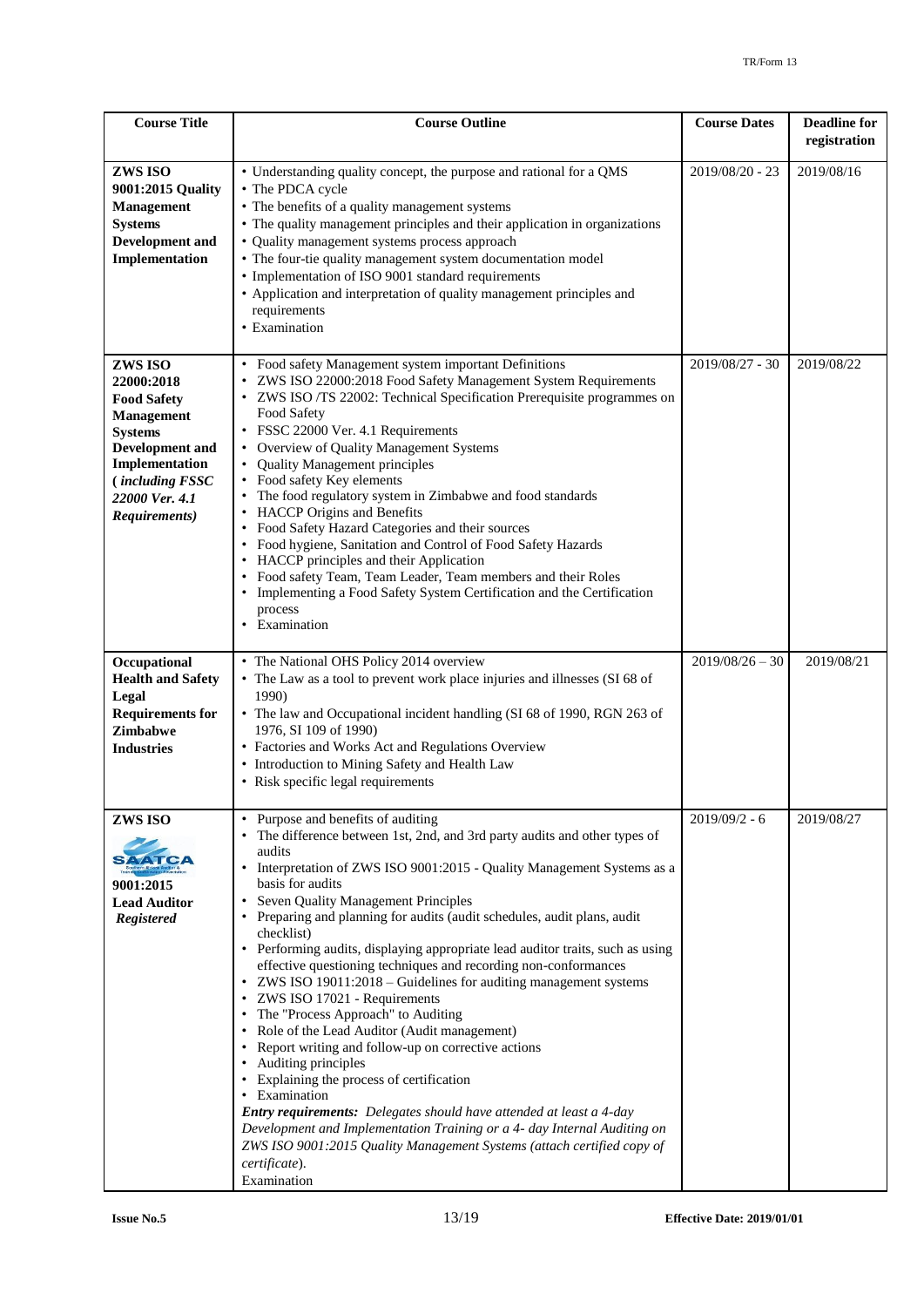| <b>Course Title</b>                                                                                                                                                                         | <b>Course Outline</b>                                                                                                                                                                                                                                                                                                                                                                                                                                                                                                                                                                                                                                                                                                                                                                                                                                                                                                                                                                                                                                                                                                                            | <b>Course Dates</b> | <b>Deadline for</b><br>registration |
|---------------------------------------------------------------------------------------------------------------------------------------------------------------------------------------------|--------------------------------------------------------------------------------------------------------------------------------------------------------------------------------------------------------------------------------------------------------------------------------------------------------------------------------------------------------------------------------------------------------------------------------------------------------------------------------------------------------------------------------------------------------------------------------------------------------------------------------------------------------------------------------------------------------------------------------------------------------------------------------------------------------------------------------------------------------------------------------------------------------------------------------------------------------------------------------------------------------------------------------------------------------------------------------------------------------------------------------------------------|---------------------|-------------------------------------|
| ZWS ISO<br>9001:2015 Quality<br><b>Management</b><br><b>Systems</b><br><b>Development</b> and<br>Implementation                                                                             | • Understanding quality concept, the purpose and rational for a QMS<br>• The PDCA cycle<br>• The benefits of a quality management systems<br>• The quality management principles and their application in organizations<br>• Quality management systems process approach<br>• The four-tie quality management system documentation model<br>• Implementation of ISO 9001 standard requirements<br>• Application and interpretation of quality management principles and<br>requirements<br>• Examination                                                                                                                                                                                                                                                                                                                                                                                                                                                                                                                                                                                                                                         | 2019/08/20 - 23     | 2019/08/16                          |
| ZWS ISO<br>22000:2018<br><b>Food Safety</b><br><b>Management</b><br><b>Systems</b><br><b>Development</b> and<br>Implementation<br><i>(including FSSC</i><br>22000 Ver. 4.1<br>Requirements) | Food safety Management system important Definitions<br>ZWS ISO 22000:2018 Food Safety Management System Requirements<br>$\bullet$<br>• ZWS ISO /TS 22002: Technical Specification Prerequisite programmes on<br>Food Safety<br>FSSC 22000 Ver. 4.1 Requirements<br>Overview of Quality Management Systems<br><b>Quality Management principles</b><br>$\bullet$<br>• Food safety Key elements<br>The food regulatory system in Zimbabwe and food standards<br>$\bullet$<br>• HACCP Origins and Benefits<br>• Food Safety Hazard Categories and their sources<br>Food hygiene, Sanitation and Control of Food Safety Hazards<br>HACCP principles and their Application<br>• Food safety Team, Team Leader, Team members and their Roles<br>Implementing a Food Safety System Certification and the Certification<br>process<br>• Examination                                                                                                                                                                                                                                                                                                       | 2019/08/27 - 30     | 2019/08/22                          |
| Occupational<br><b>Health and Safety</b><br>Legal<br><b>Requirements for</b><br><b>Zimbabwe</b><br><b>Industries</b>                                                                        | • The National OHS Policy 2014 overview<br>• The Law as a tool to prevent work place injuries and illnesses (SI 68 of<br>1990)<br>• The law and Occupational incident handling (SI 68 of 1990, RGN 263 of<br>1976, SI 109 of 1990)<br>• Factories and Works Act and Regulations Overview<br>• Introduction to Mining Safety and Health Law<br>• Risk specific legal requirements                                                                                                                                                                                                                                                                                                                                                                                                                                                                                                                                                                                                                                                                                                                                                                 | $2019/08/26 - 30$   | 2019/08/21                          |
| ZWS ISO<br>SAATC/<br>9001:2015<br><b>Lead Auditor</b><br><b>Registered</b>                                                                                                                  | Purpose and benefits of auditing<br>$\bullet$<br>The difference between 1st, 2nd, and 3rd party audits and other types of<br>audits<br>• Interpretation of ZWS ISO 9001:2015 - Quality Management Systems as a<br>basis for audits<br>Seven Quality Management Principles<br>٠<br>• Preparing and planning for audits (audit schedules, audit plans, audit<br>checklist)<br>• Performing audits, displaying appropriate lead auditor traits, such as using<br>effective questioning techniques and recording non-conformances<br>ZWS ISO 19011:2018 – Guidelines for auditing management systems<br>ZWS ISO 17021 - Requirements<br>The "Process Approach" to Auditing<br>$\bullet$<br>• Role of the Lead Auditor (Audit management)<br>• Report writing and follow-up on corrective actions<br>• Auditing principles<br>• Explaining the process of certification<br>• Examination<br>Entry requirements: Delegates should have attended at least a 4-day<br>Development and Implementation Training or a 4- day Internal Auditing on<br>ZWS ISO 9001:2015 Quality Management Systems (attach certified copy of<br>certificate).<br>Examination | $2019/09/2 - 6$     | 2019/08/27                          |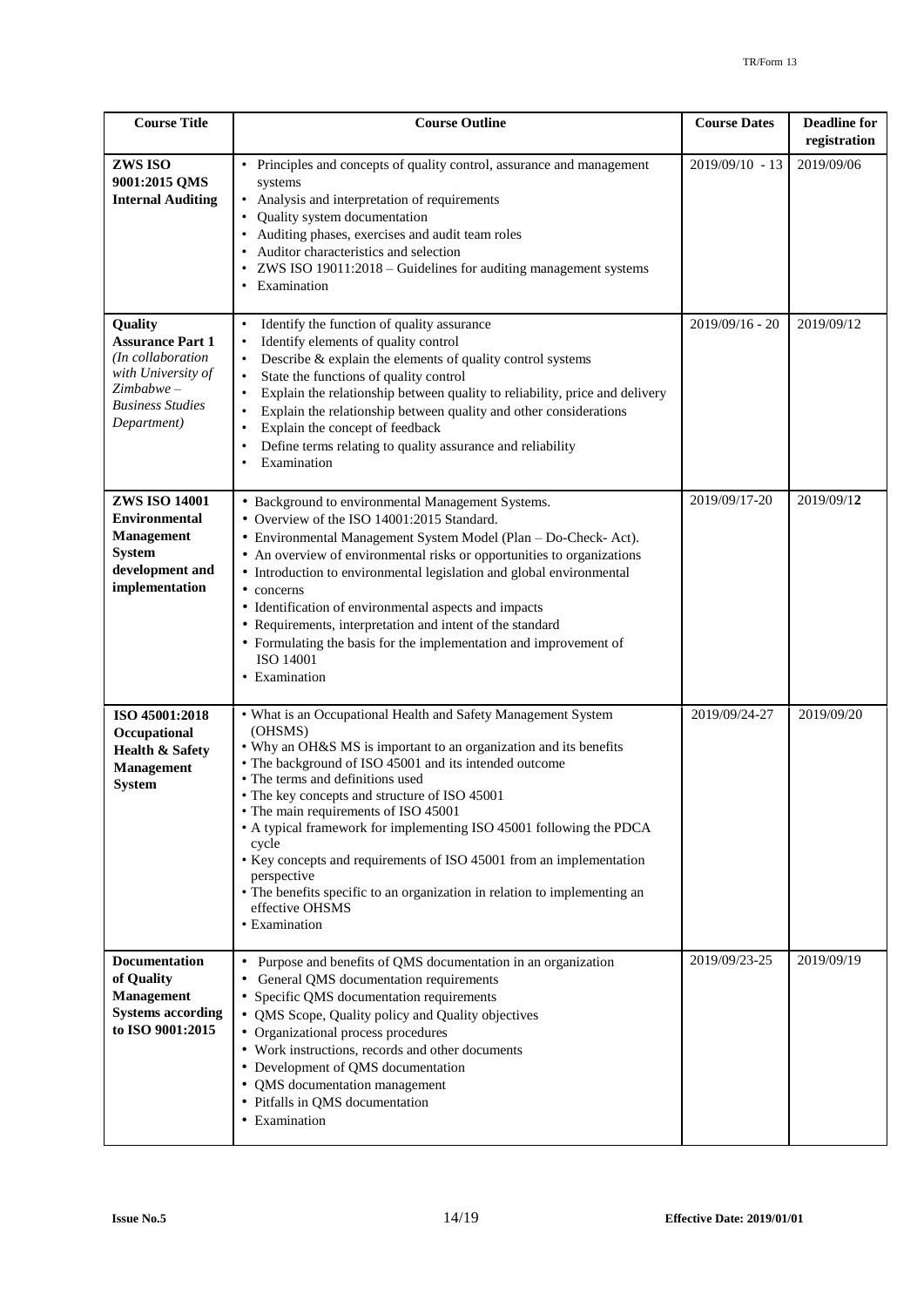| <b>Course Title</b>                                                                                                                     | <b>Course Outline</b>                                                                                                                                                                                                                                                                                                                                                                                                                                                                                                                                                                                                       | <b>Course Dates</b> | <b>Deadline for</b><br>registration |
|-----------------------------------------------------------------------------------------------------------------------------------------|-----------------------------------------------------------------------------------------------------------------------------------------------------------------------------------------------------------------------------------------------------------------------------------------------------------------------------------------------------------------------------------------------------------------------------------------------------------------------------------------------------------------------------------------------------------------------------------------------------------------------------|---------------------|-------------------------------------|
| ZWS ISO<br>9001:2015 QMS<br><b>Internal Auditing</b>                                                                                    | Principles and concepts of quality control, assurance and management<br>systems<br>Analysis and interpretation of requirements<br>Quality system documentation<br>$\bullet$<br>Auditing phases, exercises and audit team roles<br>$\bullet$<br>Auditor characteristics and selection<br>ZWS ISO 19011:2018 - Guidelines for auditing management systems<br>Examination                                                                                                                                                                                                                                                      | $2019/09/10 - 13$   | 2019/09/06                          |
| Quality<br><b>Assurance Part 1</b><br>(In collaboration<br>with University of<br>$Zimbabwe -$<br><b>Business Studies</b><br>Department) | Identify the function of quality assurance<br>$\bullet$<br>Identify elements of quality control<br>$\bullet$<br>Describe & explain the elements of quality control systems<br>$\bullet$<br>State the functions of quality control<br>$\bullet$<br>Explain the relationship between quality to reliability, price and delivery<br>$\bullet$<br>Explain the relationship between quality and other considerations<br>$\bullet$<br>Explain the concept of feedback<br>$\bullet$<br>Define terms relating to quality assurance and reliability<br>Examination                                                                   | 2019/09/16 - 20     | 2019/09/12                          |
| <b>ZWS ISO 14001</b><br><b>Environmental</b><br><b>Management</b><br><b>System</b><br>development and<br>implementation                 | • Background to environmental Management Systems.<br>• Overview of the ISO 14001:2015 Standard.<br>• Environmental Management System Model (Plan - Do-Check- Act).<br>• An overview of environmental risks or opportunities to organizations<br>• Introduction to environmental legislation and global environmental<br>• concerns<br>• Identification of environmental aspects and impacts<br>• Requirements, interpretation and intent of the standard<br>• Formulating the basis for the implementation and improvement of<br>ISO 14001<br>• Examination                                                                 | 2019/09/17-20       | 2019/09/12                          |
| ISO 45001:2018<br>Occupational<br><b>Health &amp; Safety</b><br><b>Management</b><br><b>System</b>                                      | • What is an Occupational Health and Safety Management System<br>(OHSMS)<br>• Why an OH&S MS is important to an organization and its benefits<br>• The background of ISO 45001 and its intended outcome<br>• The terms and definitions used<br>• The key concepts and structure of ISO 45001<br>• The main requirements of ISO 45001<br>• A typical framework for implementing ISO 45001 following the PDCA<br>cycle<br>• Key concepts and requirements of ISO 45001 from an implementation<br>perspective<br>• The benefits specific to an organization in relation to implementing an<br>effective OHSMS<br>• Examination | 2019/09/24-27       | 2019/09/20                          |
| <b>Documentation</b><br>of Quality<br><b>Management</b><br><b>Systems according</b><br>to ISO 9001:2015                                 | Purpose and benefits of QMS documentation in an organization<br>General QMS documentation requirements<br>$\bullet$<br>Specific QMS documentation requirements<br>$\bullet$<br>• QMS Scope, Quality policy and Quality objectives<br>• Organizational process procedures<br>• Work instructions, records and other documents<br>• Development of QMS documentation<br>• QMS documentation management<br>• Pitfalls in QMS documentation<br>• Examination                                                                                                                                                                    | 2019/09/23-25       | 2019/09/19                          |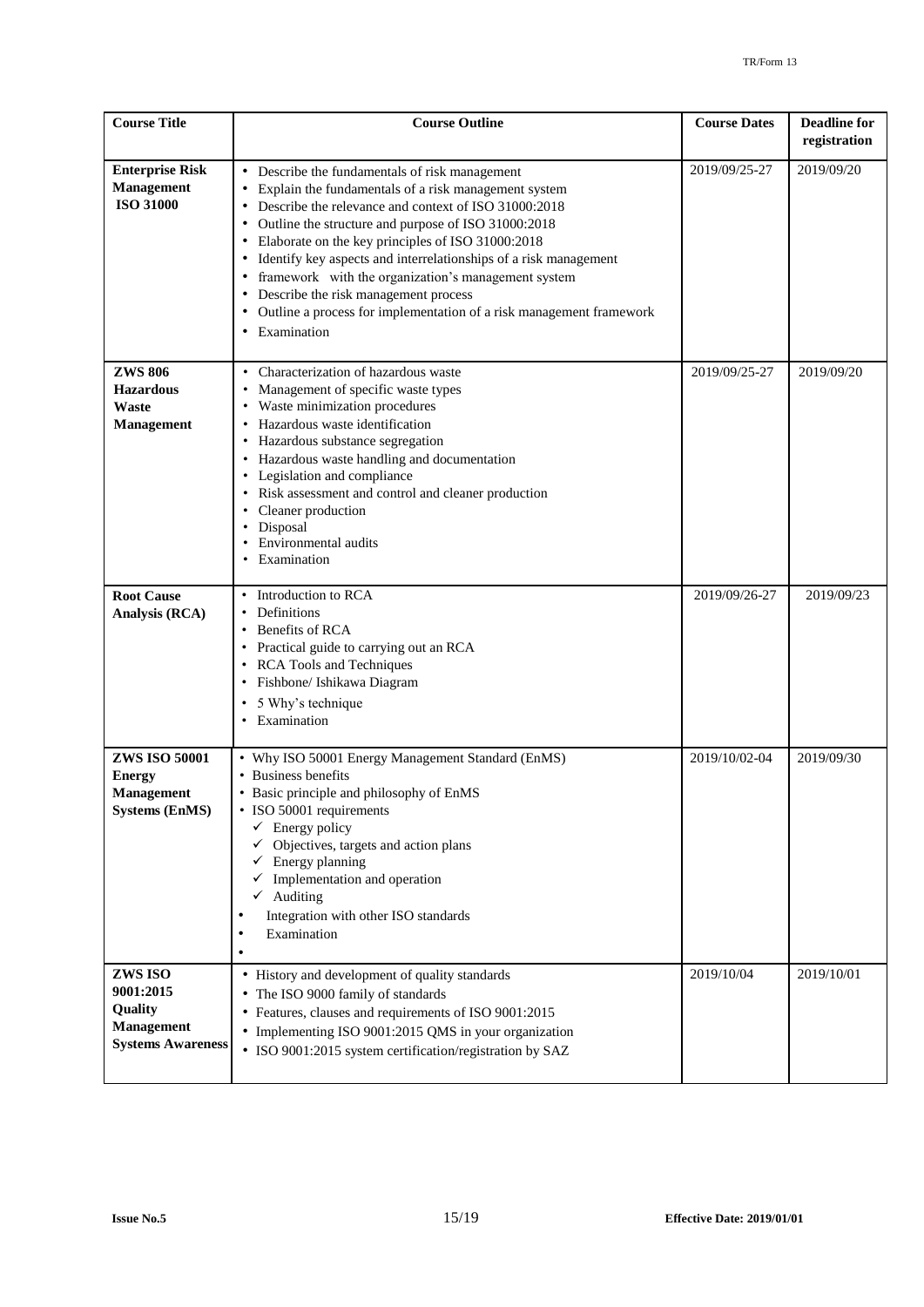| <b>Course Title</b>                                                                 | <b>Course Outline</b>                                                                                                                                                                                                                                                                                                                                                                                                                                                                                                                            | <b>Course Dates</b> | <b>Deadline for</b><br>registration |
|-------------------------------------------------------------------------------------|--------------------------------------------------------------------------------------------------------------------------------------------------------------------------------------------------------------------------------------------------------------------------------------------------------------------------------------------------------------------------------------------------------------------------------------------------------------------------------------------------------------------------------------------------|---------------------|-------------------------------------|
| <b>Enterprise Risk</b><br><b>Management</b><br><b>ISO 31000</b>                     | • Describe the fundamentals of risk management<br>Explain the fundamentals of a risk management system<br>Describe the relevance and context of ISO 31000:2018<br>Outline the structure and purpose of ISO 31000:2018<br>Elaborate on the key principles of ISO 31000:2018<br>Identify key aspects and interrelationships of a risk management<br>$\bullet$<br>framework with the organization's management system<br>Describe the risk management process<br>Outline a process for implementation of a risk management framework<br>Examination | 2019/09/25-27       | 2019/09/20                          |
| <b>ZWS 806</b><br><b>Hazardous</b><br>Waste<br>Management                           | Characterization of hazardous waste<br>$\bullet$<br>Management of specific waste types<br>Waste minimization procedures<br>Hazardous waste identification<br>Hazardous substance segregation<br>Hazardous waste handling and documentation<br>Legislation and compliance<br>$\bullet$<br>Risk assessment and control and cleaner production<br>Cleaner production<br>Disposal<br>Environmental audits<br>Examination                                                                                                                             | 2019/09/25-27       | 2019/09/20                          |
| <b>Root Cause</b><br>Analysis (RCA)                                                 | Introduction to RCA<br>$\bullet$<br>Definitions<br>$\bullet$<br>Benefits of RCA<br>$\bullet$<br>• Practical guide to carrying out an RCA<br><b>RCA Tools and Techniques</b><br>Fishbone/ Ishikawa Diagram<br>5 Why's technique<br>$\bullet$<br>Examination                                                                                                                                                                                                                                                                                       | 2019/09/26-27       | 2019/09/23                          |
| <b>ZWS ISO 50001</b><br><b>Energy</b><br><b>Management</b><br><b>Systems (EnMS)</b> | • Why ISO 50001 Energy Management Standard (EnMS)<br>• Business benefits<br>• Basic principle and philosophy of EnMS<br>• ISO 50001 requirements<br>Energy policy<br>✓<br>Objectives, targets and action plans<br>$\checkmark$ Energy planning<br>$\checkmark$ Implementation and operation<br>$\checkmark$ Auditing<br>Integration with other ISO standards<br>٠<br>Examination<br>$\bullet$                                                                                                                                                    | 2019/10/02-04       | 2019/09/30                          |
| ZWS ISO<br>9001:2015<br>Quality<br><b>Management</b><br><b>Systems Awareness</b>    | • History and development of quality standards<br>• The ISO 9000 family of standards<br>• Features, clauses and requirements of ISO 9001:2015<br>• Implementing ISO 9001:2015 QMS in your organization<br>• ISO 9001:2015 system certification/registration by SAZ                                                                                                                                                                                                                                                                               | 2019/10/04          | 2019/10/01                          |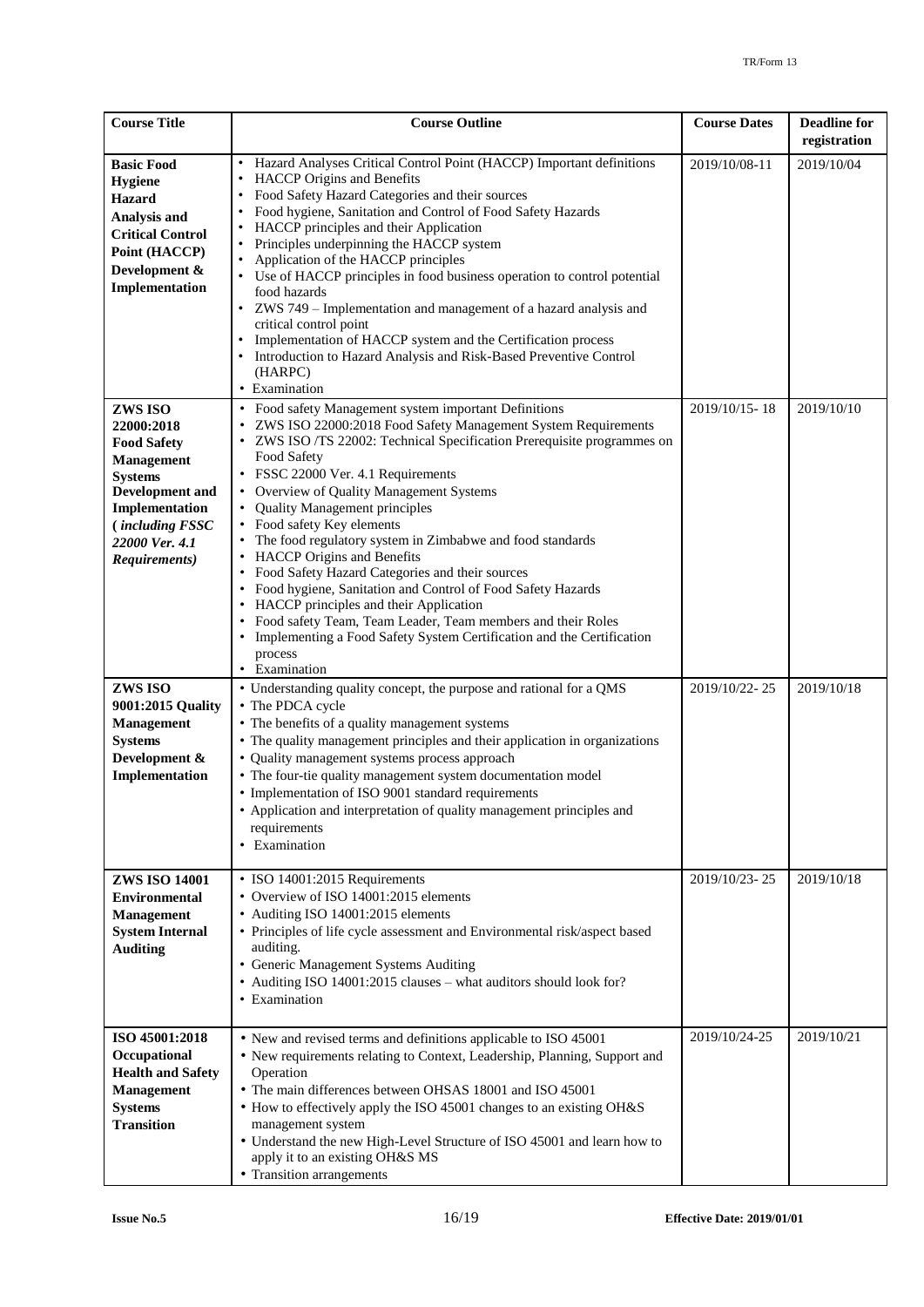| <b>Course Title</b>                                                                                                                                                                         | <b>Course Outline</b>                                                                                                                                                                                                                                                                                                                                                                                                                                                                                                                                                                                                                                                                                                                                                                                     | <b>Course Dates</b> | <b>Deadline for</b><br>registration |
|---------------------------------------------------------------------------------------------------------------------------------------------------------------------------------------------|-----------------------------------------------------------------------------------------------------------------------------------------------------------------------------------------------------------------------------------------------------------------------------------------------------------------------------------------------------------------------------------------------------------------------------------------------------------------------------------------------------------------------------------------------------------------------------------------------------------------------------------------------------------------------------------------------------------------------------------------------------------------------------------------------------------|---------------------|-------------------------------------|
| <b>Basic Food</b><br>Hygiene<br><b>Hazard</b><br>Analysis and<br><b>Critical Control</b><br>Point (HACCP)<br>Development &<br>Implementation                                                | Hazard Analyses Critical Control Point (HACCP) Important definitions<br>HACCP Origins and Benefits<br>Food Safety Hazard Categories and their sources<br>Food hygiene, Sanitation and Control of Food Safety Hazards<br>HACCP principles and their Application<br>Principles underpinning the HACCP system<br>Application of the HACCP principles<br>• Use of HACCP principles in food business operation to control potential<br>food hazards<br>• ZWS 749 - Implementation and management of a hazard analysis and<br>critical control point<br>Implementation of HACCP system and the Certification process<br>Introduction to Hazard Analysis and Risk-Based Preventive Control<br>(HARPC)<br>• Examination                                                                                           | 2019/10/08-11       | 2019/10/04                          |
| ZWS ISO<br>22000:2018<br><b>Food Safety</b><br><b>Management</b><br><b>Systems</b><br><b>Development and</b><br>Implementation<br><i>(including FSSC</i><br>22000 Ver. 4.1<br>Requirements) | • Food safety Management system important Definitions<br>ZWS ISO 22000:2018 Food Safety Management System Requirements<br>ZWS ISO /TS 22002: Technical Specification Prerequisite programmes on<br>Food Safety<br>• FSSC 22000 Ver. 4.1 Requirements<br>• Overview of Quality Management Systems<br><b>Quality Management principles</b><br>• Food safety Key elements<br>The food regulatory system in Zimbabwe and food standards<br>• HACCP Origins and Benefits<br>Food Safety Hazard Categories and their sources<br>Food hygiene, Sanitation and Control of Food Safety Hazards<br>• HACCP principles and their Application<br>• Food safety Team, Team Leader, Team members and their Roles<br>• Implementing a Food Safety System Certification and the Certification<br>process<br>• Examination | 2019/10/15-18       | 2019/10/10                          |
| ZWS ISO<br>9001:2015 Quality<br><b>Management</b><br><b>Systems</b><br>Development &<br>Implementation                                                                                      | • Understanding quality concept, the purpose and rational for a QMS<br>• The PDCA cycle<br>• The benefits of a quality management systems<br>• The quality management principles and their application in organizations<br>• Quality management systems process approach<br>• The four-tie quality management system documentation model<br>• Implementation of ISO 9001 standard requirements<br>• Application and interpretation of quality management principles and<br>requirements<br>• Examination                                                                                                                                                                                                                                                                                                  | 2019/10/22-25       | 2019/10/18                          |
| <b>ZWS ISO 14001</b><br><b>Environmental</b><br><b>Management</b><br><b>System Internal</b><br><b>Auditing</b>                                                                              | • ISO 14001:2015 Requirements<br>• Overview of ISO 14001:2015 elements<br>• Auditing ISO 14001:2015 elements<br>• Principles of life cycle assessment and Environmental risk/aspect based<br>auditing.<br>• Generic Management Systems Auditing<br>• Auditing ISO 14001:2015 clauses - what auditors should look for?<br>• Examination                                                                                                                                                                                                                                                                                                                                                                                                                                                                    | 2019/10/23-25       | 2019/10/18                          |
| ISO 45001:2018<br>Occupational<br><b>Health and Safety</b><br><b>Management</b><br><b>Systems</b><br><b>Transition</b>                                                                      | • New and revised terms and definitions applicable to ISO 45001<br>• New requirements relating to Context, Leadership, Planning, Support and<br>Operation<br>• The main differences between OHSAS 18001 and ISO 45001<br>• How to effectively apply the ISO 45001 changes to an existing OH&S<br>management system<br>• Understand the new High-Level Structure of ISO 45001 and learn how to<br>apply it to an existing OH&S MS<br>• Transition arrangements                                                                                                                                                                                                                                                                                                                                             | 2019/10/24-25       | 2019/10/21                          |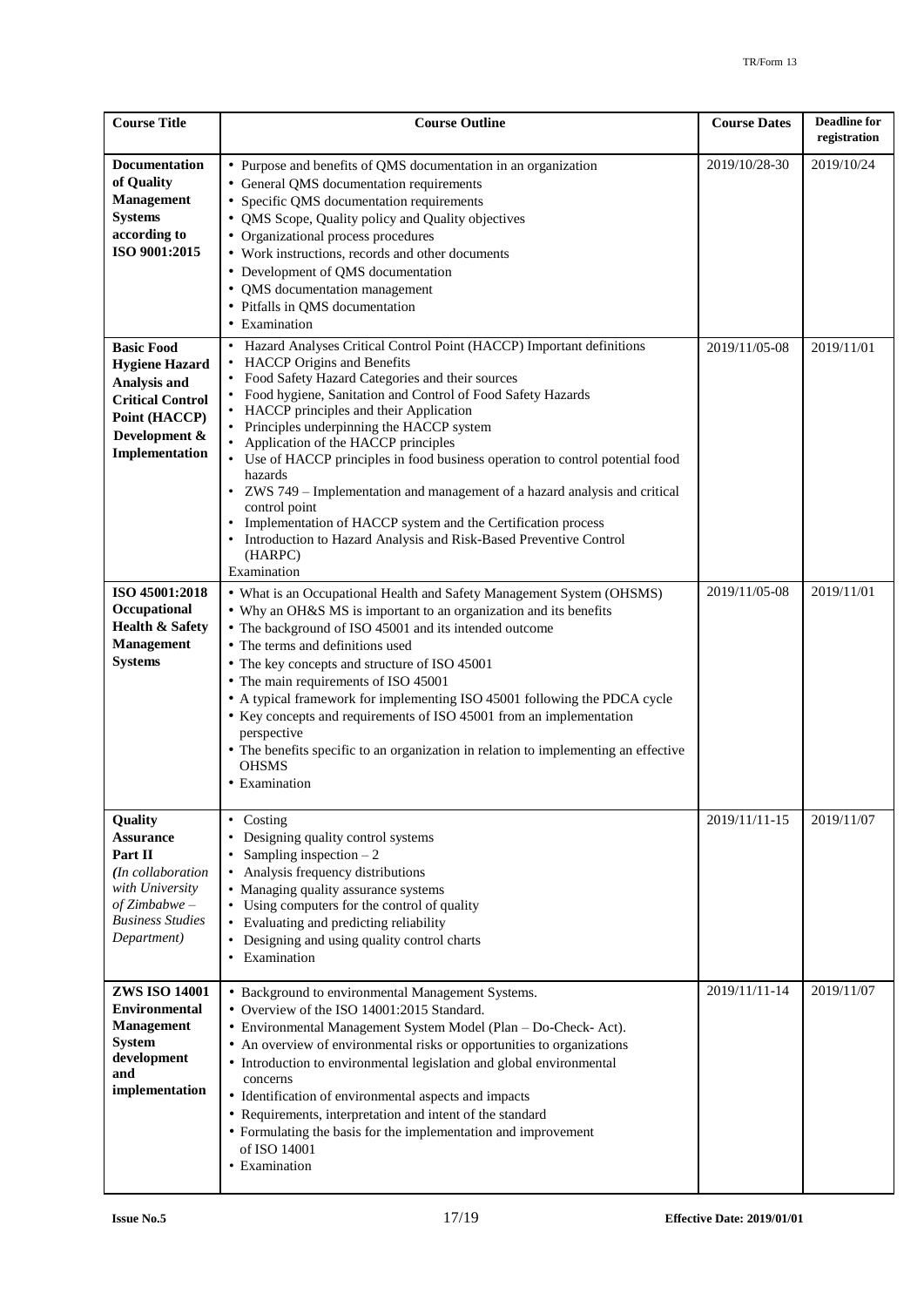| <b>Course Title</b>                                                                                                                         | <b>Course Outline</b>                                                                                                                                                                                                                                                                                                                                                                                                                                                                                                                                                                                                                                                                                                         | <b>Course Dates</b> | <b>Deadline</b> for<br>registration |
|---------------------------------------------------------------------------------------------------------------------------------------------|-------------------------------------------------------------------------------------------------------------------------------------------------------------------------------------------------------------------------------------------------------------------------------------------------------------------------------------------------------------------------------------------------------------------------------------------------------------------------------------------------------------------------------------------------------------------------------------------------------------------------------------------------------------------------------------------------------------------------------|---------------------|-------------------------------------|
| <b>Documentation</b><br>of Quality<br><b>Management</b><br><b>Systems</b><br>according to<br>ISO 9001:2015                                  | • Purpose and benefits of QMS documentation in an organization<br>• General QMS documentation requirements<br>• Specific QMS documentation requirements<br>• QMS Scope, Quality policy and Quality objectives<br>• Organizational process procedures<br>• Work instructions, records and other documents<br>• Development of QMS documentation<br>• QMS documentation management<br>• Pitfalls in QMS documentation<br>• Examination                                                                                                                                                                                                                                                                                          | 2019/10/28-30       | 2019/10/24                          |
| <b>Basic Food</b><br><b>Hygiene Hazard</b><br>Analysis and<br><b>Critical Control</b><br>Point (HACCP)<br>Development &<br>Implementation   | Hazard Analyses Critical Control Point (HACCP) Important definitions<br>• HACCP Origins and Benefits<br>• Food Safety Hazard Categories and their sources<br>• Food hygiene, Sanitation and Control of Food Safety Hazards<br>• HACCP principles and their Application<br>• Principles underpinning the HACCP system<br>• Application of the HACCP principles<br>• Use of HACCP principles in food business operation to control potential food<br>hazards<br>• ZWS 749 – Implementation and management of a hazard analysis and critical<br>control point<br>• Implementation of HACCP system and the Certification process<br>• Introduction to Hazard Analysis and Risk-Based Preventive Control<br>(HARPC)<br>Examination | 2019/11/05-08       | 2019/11/01                          |
| ISO 45001:2018<br>Occupational<br><b>Health &amp; Safety</b><br><b>Management</b><br><b>Systems</b>                                         | • What is an Occupational Health and Safety Management System (OHSMS)<br>• Why an OH&S MS is important to an organization and its benefits<br>• The background of ISO 45001 and its intended outcome<br>• The terms and definitions used<br>• The key concepts and structure of ISO 45001<br>• The main requirements of ISO 45001<br>• A typical framework for implementing ISO 45001 following the PDCA cycle<br>• Key concepts and requirements of ISO 45001 from an implementation<br>perspective<br>• The benefits specific to an organization in relation to implementing an effective<br><b>OHSMS</b><br>• Examination                                                                                                  | 2019/11/05-08       | 2019/11/01                          |
| Quality<br><b>Assurance</b><br>Part II<br>(In collaboration<br>with University<br>$of Zimbabwe -$<br><b>Business Studies</b><br>Department) | Costing<br>Designing quality control systems<br>Sampling inspection $-2$<br>Analysis frequency distributions<br>• Managing quality assurance systems<br>• Using computers for the control of quality<br>• Evaluating and predicting reliability<br>Designing and using quality control charts<br>Examination<br>$\bullet$                                                                                                                                                                                                                                                                                                                                                                                                     | 2019/11/11-15       | 2019/11/07                          |
| <b>ZWS ISO 14001</b><br><b>Environmental</b><br><b>Management</b><br><b>System</b><br>development<br>and<br>implementation                  | • Background to environmental Management Systems.<br>• Overview of the ISO 14001:2015 Standard.<br>• Environmental Management System Model (Plan - Do-Check- Act).<br>• An overview of environmental risks or opportunities to organizations<br>• Introduction to environmental legislation and global environmental<br>concerns<br>• Identification of environmental aspects and impacts<br>• Requirements, interpretation and intent of the standard<br>• Formulating the basis for the implementation and improvement<br>of ISO 14001<br>• Examination                                                                                                                                                                     | 2019/11/11-14       | 2019/11/07                          |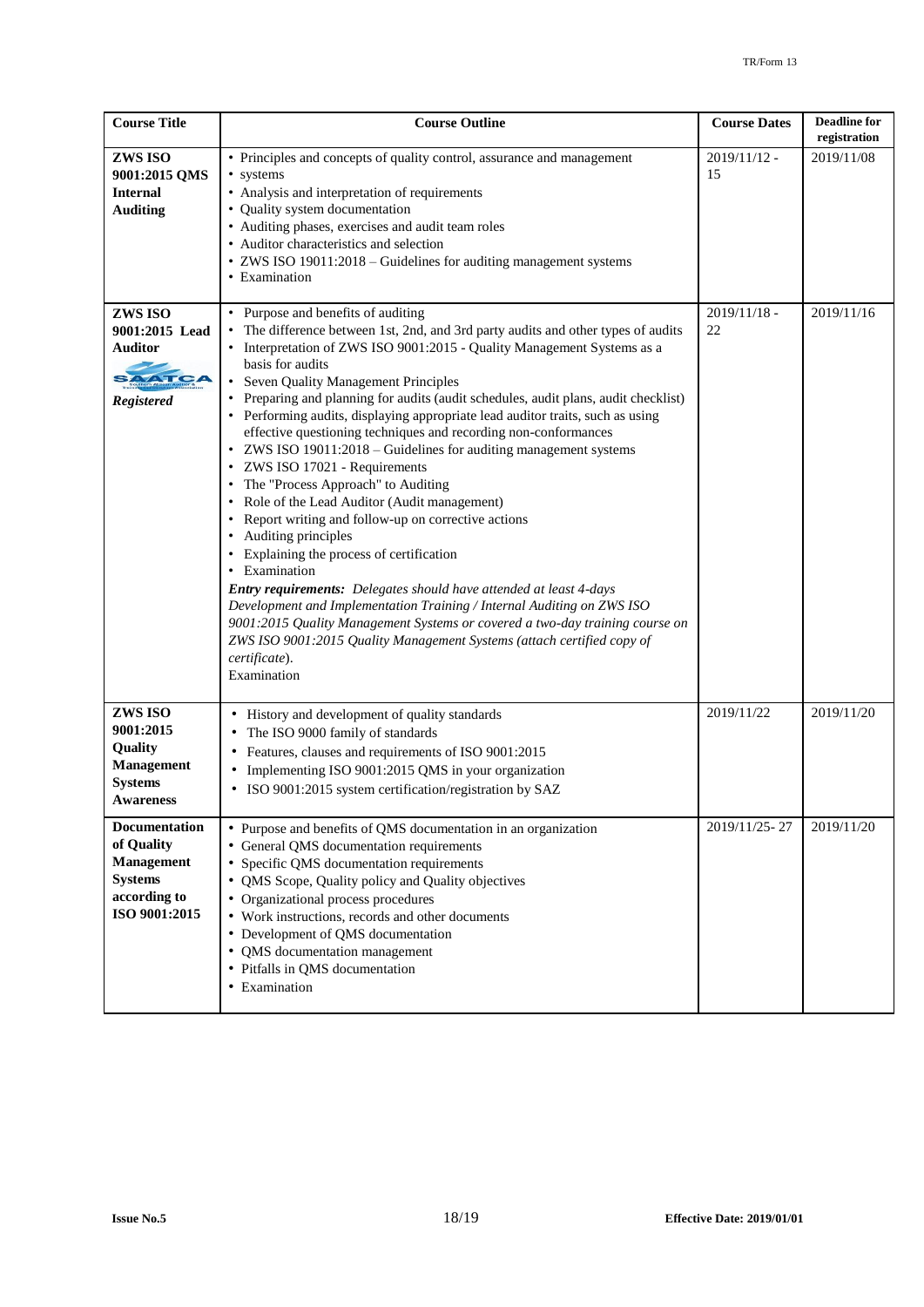| <b>Course Title</b>                                                                                        | <b>Course Outline</b>                                                                                                                                                                                                                                                                                                                                                                                                                                                                                                                                                                                                                                                                                                                                                                                                                                                                                                                                                                                                                                                                                                                                                                            | <b>Course Dates</b>  | <b>Deadline</b> for<br>registration |
|------------------------------------------------------------------------------------------------------------|--------------------------------------------------------------------------------------------------------------------------------------------------------------------------------------------------------------------------------------------------------------------------------------------------------------------------------------------------------------------------------------------------------------------------------------------------------------------------------------------------------------------------------------------------------------------------------------------------------------------------------------------------------------------------------------------------------------------------------------------------------------------------------------------------------------------------------------------------------------------------------------------------------------------------------------------------------------------------------------------------------------------------------------------------------------------------------------------------------------------------------------------------------------------------------------------------|----------------------|-------------------------------------|
| ZWS ISO<br>9001:2015 QMS<br><b>Internal</b><br><b>Auditing</b>                                             | • Principles and concepts of quality control, assurance and management<br>• systems<br>• Analysis and interpretation of requirements<br>• Quality system documentation<br>• Auditing phases, exercises and audit team roles<br>• Auditor characteristics and selection<br>• ZWS ISO 19011:2018 - Guidelines for auditing management systems<br>• Examination                                                                                                                                                                                                                                                                                                                                                                                                                                                                                                                                                                                                                                                                                                                                                                                                                                     | $2019/11/12$ -<br>15 | 2019/11/08                          |
| ZWS ISO<br>9001:2015 Lead<br>Auditor<br>SAATCA<br><b>Registered</b>                                        | • Purpose and benefits of auditing<br>The difference between 1st, 2nd, and 3rd party audits and other types of audits<br>Interpretation of ZWS ISO 9001:2015 - Quality Management Systems as a<br>basis for audits<br>• Seven Quality Management Principles<br>• Preparing and planning for audits (audit schedules, audit plans, audit checklist)<br>• Performing audits, displaying appropriate lead auditor traits, such as using<br>effective questioning techniques and recording non-conformances<br>• ZWS ISO 19011:2018 - Guidelines for auditing management systems<br>• ZWS ISO 17021 - Requirements<br>• The "Process Approach" to Auditing<br>• Role of the Lead Auditor (Audit management)<br>• Report writing and follow-up on corrective actions<br>• Auditing principles<br>• Explaining the process of certification<br>• Examination<br>Entry requirements: Delegates should have attended at least 4-days<br>Development and Implementation Training / Internal Auditing on ZWS ISO<br>9001:2015 Quality Management Systems or covered a two-day training course on<br>ZWS ISO 9001:2015 Quality Management Systems (attach certified copy of<br>certificate).<br>Examination | $2019/11/18$ -<br>22 | 2019/11/16                          |
| ZWS ISO<br>9001:2015<br>Quality<br><b>Management</b><br><b>Systems</b><br><b>Awareness</b>                 | • History and development of quality standards<br>The ISO 9000 family of standards<br>Features, clauses and requirements of ISO 9001:2015<br>Implementing ISO 9001:2015 QMS in your organization<br>٠<br>• ISO 9001:2015 system certification/registration by SAZ                                                                                                                                                                                                                                                                                                                                                                                                                                                                                                                                                                                                                                                                                                                                                                                                                                                                                                                                | 2019/11/22           | 2019/11/20                          |
| <b>Documentation</b><br>of Quality<br><b>Management</b><br><b>Systems</b><br>according to<br>ISO 9001:2015 | • Purpose and benefits of QMS documentation in an organization<br>• General QMS documentation requirements<br>• Specific QMS documentation requirements<br>• QMS Scope, Quality policy and Quality objectives<br>• Organizational process procedures<br>• Work instructions, records and other documents<br>• Development of QMS documentation<br>• QMS documentation management<br>• Pitfalls in QMS documentation<br>• Examination                                                                                                                                                                                                                                                                                                                                                                                                                                                                                                                                                                                                                                                                                                                                                             | 2019/11/25-27        | 2019/11/20                          |